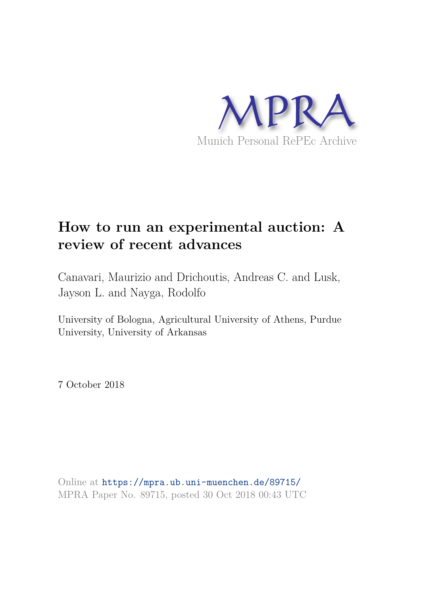

# **How to run an experimental auction: A review of recent advances**

Canavari, Maurizio and Drichoutis, Andreas C. and Lusk, Jayson L. and Nayga, Rodolfo

University of Bologna, Agricultural University of Athens, Purdue University, University of Arkansas

7 October 2018

Online at https://mpra.ub.uni-muenchen.de/89715/ MPRA Paper No. 89715, posted 30 Oct 2018 00:43 UTC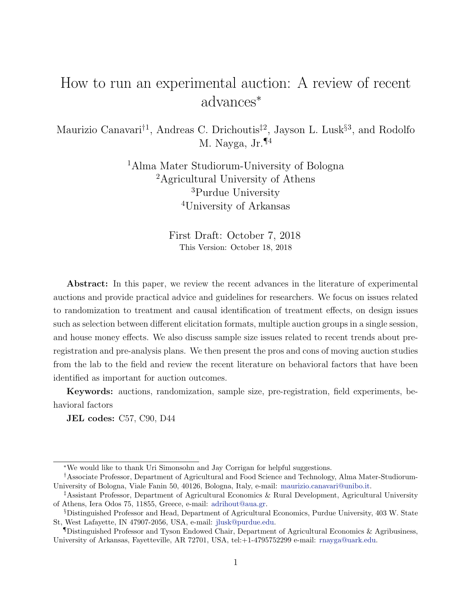# How to run an experimental auction: A review of recent advances<sup>∗</sup>

Maurizio Canavari<sup>†1</sup>, Andreas C. Drichoutis<sup>‡2</sup>, Jayson L. Lusk<sup>§3</sup>, and Rodolfo M. Nayga, Jr.¶<sup>4</sup>

> Alma Mater Studiorum-University of Bologna Agricultural University of Athens Purdue University University of Arkansas

> > First Draft: October 7, 2018 This Version: October 18, 2018

Abstract: In this paper, we review the recent advances in the literature of experimental auctions and provide practical advice and guidelines for researchers. We focus on issues related to randomization to treatment and causal identification of treatment effects, on design issues such as selection between different elicitation formats, multiple auction groups in a single session, and house money effects. We also discuss sample size issues related to recent trends about preregistration and pre-analysis plans. We then present the pros and cons of moving auction studies from the lab to the field and review the recent literature on behavioral factors that have been identified as important for auction outcomes.

Keywords: auctions, randomization, sample size, pre-registration, field experiments, behavioral factors

JEL codes: C57, C90, D44

<sup>∗</sup>We would like to thank Uri Simonsohn and Jay Corrigan for helpful suggestions.

<sup>†</sup>Associate Professor, Department of Agricultural and Food Science and Technology, Alma Mater-Studiorum-University of Bologna, Viale Fanin 50, 40126, Bologna, Italy, e-mail: maurizio.canavari@unibo.it.

<sup>‡</sup>Assistant Professor, Department of Agricultural Economics & Rural Development, Agricultural University of Athens, Iera Odos 75, 11855, Greece, e-mail: adrihout@aua.gr.

<sup>§</sup>Distinguished Professor and Head, Department of Agricultural Economics, Purdue University, 403 W. State St, West Lafayette, IN 47907-2056, USA, e-mail: jlusk@purdue.edu.

<sup>¶</sup>Distinguished Professor and Tyson Endowed Chair, Department of Agricultural Economics & Agribusiness, University of Arkansas, Fayetteville, AR 72701, USA, tel: +1-4795752299 e-mail: rnayga@uark.edu.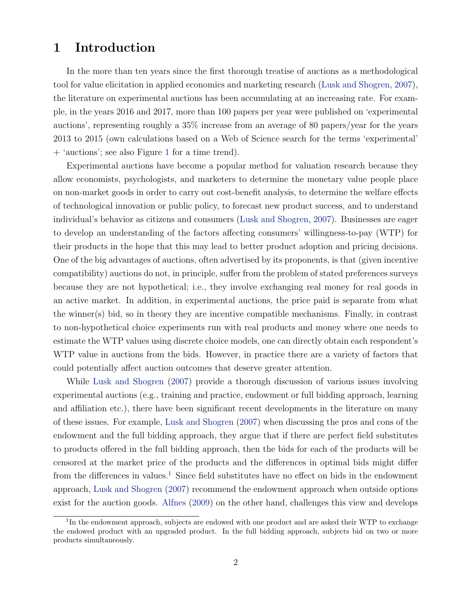## 1 Introduction

In the more than ten years since the first thorough treatise of auctions as a methodological tool for value elicitation in applied economics and marketing research (Lusk and Shogren, 2007), the literature on experimental auctions has been accumulating at an increasing rate. For example, in the years 2016 and 2017, more than 100 papers per year were published on 'experimental auctions', representing roughly a 35% increase from an average of 80 papers/year for the years 2013 to 2015 (own calculations based on a Web of Science search for the terms 'experimental' + 'auctions'; see also Figure 1 for a time trend).

Experimental auctions have become a popular method for valuation research because they allow economists, psychologists, and marketers to determine the monetary value people place on non-market goods in order to carry out cost-benefit analysis, to determine the welfare effects of technological innovation or public policy, to forecast new product success, and to understand individual's behavior as citizens and consumers (Lusk and Shogren, 2007). Businesses are eager to develop an understanding of the factors affecting consumers' willingness-to-pay (WTP) for their products in the hope that this may lead to better product adoption and pricing decisions. One of the big advantages of auctions, often advertised by its proponents, is that (given incentive compatibility) auctions do not, in principle, suffer from the problem of stated preferences surveys because they are not hypothetical; i.e., they involve exchanging real money for real goods in an active market. In addition, in experimental auctions, the price paid is separate from what the winner(s) bid, so in theory they are incentive compatible mechanisms. Finally, in contrast to non-hypothetical choice experiments run with real products and money where one needs to estimate the WTP values using discrete choice models, one can directly obtain each respondent's WTP value in auctions from the bids. However, in practice there are a variety of factors that could potentially affect auction outcomes that deserve greater attention.

While Lusk and Shogren (2007) provide a thorough discussion of various issues involving experimental auctions (e.g., training and practice, endowment or full bidding approach, learning and affiliation etc.), there have been significant recent developments in the literature on many of these issues. For example, Lusk and Shogren (2007) when discussing the pros and cons of the endowment and the full bidding approach, they argue that if there are perfect field substitutes to products offered in the full bidding approach, then the bids for each of the products will be censored at the market price of the products and the differences in optimal bids might differ from the differences in values.<sup>1</sup> Since field substitutes have no effect on bids in the endowment approach, Lusk and Shogren (2007) recommend the endowment approach when outside options exist for the auction goods. Alfnes (2009) on the other hand, challenges this view and develops

<sup>&</sup>lt;sup>1</sup>In the endowment approach, subjects are endowed with one product and are asked their WTP to exchange the endowed product with an upgraded product. In the full bidding approach, subjects bid on two or more products simultaneously.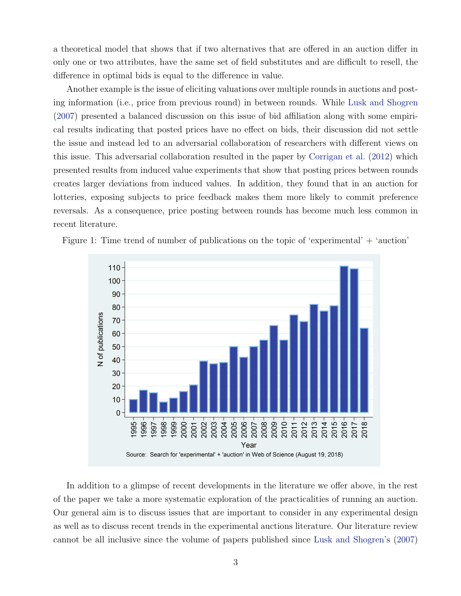a theoretical model that shows that if two alternatives that are offered in an auction differ in only one or two attributes, have the same set of field substitutes and are difficult to resell, the difference in optimal bids is equal to the difference in value.

Another example is the issue of eliciting valuations over multiple rounds in auctions and posting information (i.e., price from previous round) in between rounds. While Lusk and Shogren (2007) presented a balanced discussion on this issue of bid affiliation along with some empirical results indicating that posted prices have no effect on bids, their discussion did not settle the issue and instead led to an adversarial collaboration of researchers with different views on this issue. This adversarial collaboration resulted in the paper by Corrigan et al. (2012) which presented results from induced value experiments that show that posting prices between rounds creates larger deviations from induced values. In addition, they found that in an auction for lotteries, exposing subjects to price feedback makes them more likely to commit preference reversals. As a consequence, price posting between rounds has become much less common in recent literature.



Figure 1: Time trend of number of publications on the topic of 'experimental' + 'auction'

In addition to a glimpse of recent developments in the literature we offer above, in the rest of the paper we take a more systematic exploration of the practicalities of running an auction. Our general aim is to discuss issues that are important to consider in any experimental design as well as to discuss recent trends in the experimental auctions literature. Our literature review cannot be all inclusive since the volume of papers published since Lusk and Shogren's (2007)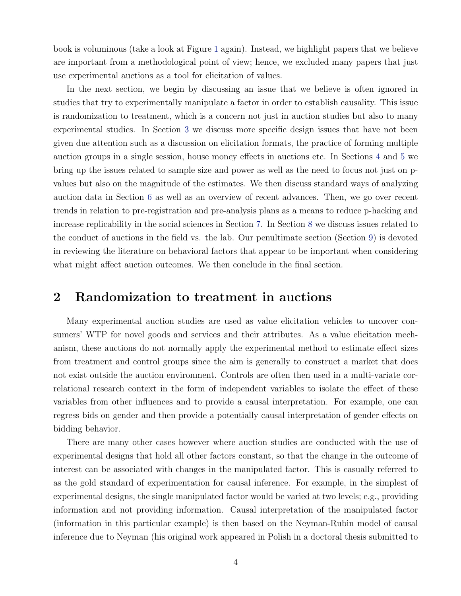book is voluminous (take a look at Figure 1 again). Instead, we highlight papers that we believe are important from a methodological point of view; hence, we excluded many papers that just use experimental auctions as a tool for elicitation of values.

In the next section, we begin by discussing an issue that we believe is often ignored in studies that try to experimentally manipulate a factor in order to establish causality. This issue is randomization to treatment, which is a concern not just in auction studies but also to many experimental studies. In Section 3 we discuss more specific design issues that have not been given due attention such as a discussion on elicitation formats, the practice of forming multiple auction groups in a single session, house money effects in auctions etc. In Sections 4 and 5 we bring up the issues related to sample size and power as well as the need to focus not just on pvalues but also on the magnitude of the estimates. We then discuss standard ways of analyzing auction data in Section 6 as well as an overview of recent advances. Then, we go over recent trends in relation to pre-registration and pre-analysis plans as a means to reduce p-hacking and increase replicability in the social sciences in Section 7. In Section 8 we discuss issues related to the conduct of auctions in the field vs. the lab. Our penultimate section (Section 9) is devoted in reviewing the literature on behavioral factors that appear to be important when considering what might affect auction outcomes. We then conclude in the final section.

### 2 Randomization to treatment in auctions

Many experimental auction studies are used as value elicitation vehicles to uncover consumers' WTP for novel goods and services and their attributes. As a value elicitation mechanism, these auctions do not normally apply the experimental method to estimate effect sizes from treatment and control groups since the aim is generally to construct a market that does not exist outside the auction environment. Controls are often then used in a multi-variate correlational research context in the form of independent variables to isolate the effect of these variables from other influences and to provide a causal interpretation. For example, one can regress bids on gender and then provide a potentially causal interpretation of gender effects on bidding behavior.

There are many other cases however where auction studies are conducted with the use of experimental designs that hold all other factors constant, so that the change in the outcome of interest can be associated with changes in the manipulated factor. This is casually referred to as the gold standard of experimentation for causal inference. For example, in the simplest of experimental designs, the single manipulated factor would be varied at two levels; e.g., providing information and not providing information. Causal interpretation of the manipulated factor (information in this particular example) is then based on the Neyman-Rubin model of causal inference due to Neyman (his original work appeared in Polish in a doctoral thesis submitted to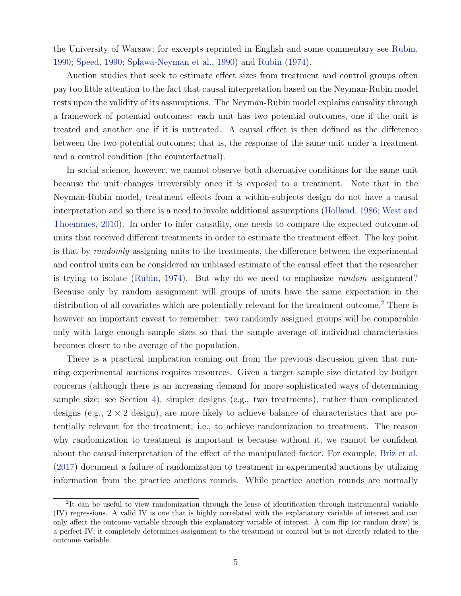the University of Warsaw; for excerpts reprinted in English and some commentary see Rubin, 1990; Speed, 1990; Splawa-Neyman et al., 1990) and Rubin (1974).

Auction studies that seek to estimate effect sizes from treatment and control groups often pay too little attention to the fact that causal interpretation based on the Neyman-Rubin model rests upon the validity of its assumptions. The Neyman-Rubin model explains causality through a framework of potential outcomes: each unit has two potential outcomes, one if the unit is treated and another one if it is untreated. A causal effect is then defined as the difference between the two potential outcomes; that is, the response of the same unit under a treatment and a control condition (the counterfactual).

In social science, however, we cannot observe both alternative conditions for the same unit because the unit changes irreversibly once it is exposed to a treatment. Note that in the Neyman-Rubin model, treatment effects from a within-subjects design do not have a causal interpretation and so there is a need to invoke additional assumptions (Holland, 1986; West and Thoemmes, 2010). In order to infer causality, one needs to compare the expected outcome of units that received different treatments in order to estimate the treatment effect. The key point is that by randomly assigning units to the treatments, the difference between the experimental and control units can be considered an unbiased estimate of the causal effect that the researcher is trying to isolate (Rubin, 1974). But why do we need to emphasize random assignment? Because only by random assignment will groups of units have the same expectation in the distribution of all covariates which are potentially relevant for the treatment outcome.<sup>2</sup> There is however an important caveat to remember: two randomly assigned groups will be comparable only with large enough sample sizes so that the sample average of individual characteristics becomes closer to the average of the population.

There is a practical implication coming out from the previous discussion given that running experimental auctions requires resources. Given a target sample size dictated by budget concerns (although there is an increasing demand for more sophisticated ways of determining sample size; see Section 4), simpler designs (e.g., two treatments), rather than complicated designs (e.g.,  $2 \times 2$  design), are more likely to achieve balance of characteristics that are potentially relevant for the treatment; i.e., to achieve randomization to treatment. The reason why randomization to treatment is important is because without it, we cannot be confident about the causal interpretation of the effect of the manipulated factor. For example, Briz et al. (2017) document a failure of randomization to treatment in experimental auctions by utilizing information from the practice auctions rounds. While practice auction rounds are normally

<sup>&</sup>lt;sup>2</sup>It can be useful to view randomization through the lense of identification through instrumental variable (IV) regressions. A valid IV is one that is highly correlated with the explanatory variable of interest and can only affect the outcome variable through this explanatory variable of interest. A coin flip (or random draw) is a perfect IV; it completely determines assignment to the treatment or control but is not directly related to the outcome variable.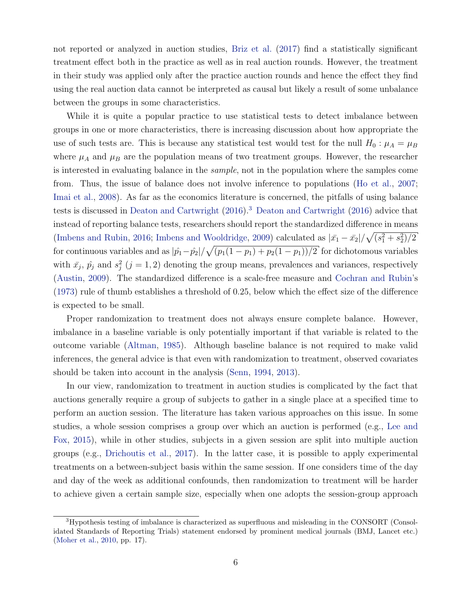not reported or analyzed in auction studies, Briz et al. (2017) find a statistically significant treatment effect both in the practice as well as in real auction rounds. However, the treatment in their study was applied only after the practice auction rounds and hence the effect they find using the real auction data cannot be interpreted as causal but likely a result of some unbalance between the groups in some characteristics.

While it is quite a popular practice to use statistical tests to detect imbalance between groups in one or more characteristics, there is increasing discussion about how appropriate the use of such tests are. This is because any statistical test would test for the null  $H_0$ :  $\mu_A = \mu_B$ where  $\mu_A$  and  $\mu_B$  are the population means of two treatment groups. However, the researcher is interested in evaluating balance in the sample, not in the population where the samples come from. Thus, the issue of balance does not involve inference to populations (Ho et al., 2007; Imai et al., 2008). As far as the economics literature is concerned, the pitfalls of using balance tests is discussed in Deaton and Cartwright (2016).<sup>3</sup> Deaton and Cartwright (2016) advice that instead of reporting balance tests, researchers should report the standardized difference in means (Imbens and Rubin, 2016; Imbens and Wooldridge, 2009) calculated as  $|\bar{x_1} - \bar{x_2}| / \sqrt{(s_1^2 + s_2^2)/2}$ for continuous variables and as  $|p_1 - p_2| / \sqrt{(p_1(1 - p_1) + p_2(1 - p_1))/2}$  for dichotomous variables with  $\bar{x}_j$ ,  $\hat{p}_j$  and  $s_j^2$  (j = 1, 2) denoting the group means, prevalences and variances, respectively (Austin, 2009). The standardized difference is a scale-free measure and Cochran and Rubin's (1973) rule of thumb establishes a threshold of 0.25, below which the effect size of the difference is expected to be small.

Proper randomization to treatment does not always ensure complete balance. However, imbalance in a baseline variable is only potentially important if that variable is related to the outcome variable (Altman, 1985). Although baseline balance is not required to make valid inferences, the general advice is that even with randomization to treatment, observed covariates should be taken into account in the analysis (Senn, 1994, 2013).

In our view, randomization to treatment in auction studies is complicated by the fact that auctions generally require a group of subjects to gather in a single place at a specified time to perform an auction session. The literature has taken various approaches on this issue. In some studies, a whole session comprises a group over which an auction is performed (e.g., Lee and Fox, 2015), while in other studies, subjects in a given session are split into multiple auction groups (e.g., Drichoutis et al., 2017). In the latter case, it is possible to apply experimental treatments on a between-subject basis within the same session. If one considers time of the day and day of the week as additional confounds, then randomization to treatment will be harder to achieve given a certain sample size, especially when one adopts the session-group approach

<sup>&</sup>lt;sup>3</sup>Hypothesis testing of imbalance is characterized as superfluous and misleading in the CONSORT (Consolidated Standards of Reporting Trials) statement endorsed by prominent medical journals (BMJ, Lancet etc.) (Moher et al., 2010, pp. 17).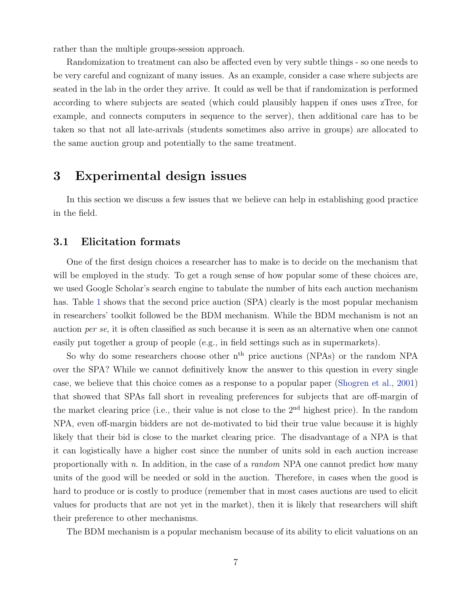rather than the multiple groups-session approach.

Randomization to treatment can also be affected even by very subtle things - so one needs to be very careful and cognizant of many issues. As an example, consider a case where subjects are seated in the lab in the order they arrive. It could as well be that if randomization is performed according to where subjects are seated (which could plausibly happen if ones uses zTree, for example, and connects computers in sequence to the server), then additional care has to be taken so that not all late-arrivals (students sometimes also arrive in groups) are allocated to the same auction group and potentially to the same treatment.

### 3 Experimental design issues

In this section we discuss a few issues that we believe can help in establishing good practice in the field.

#### 3.1 Elicitation formats

One of the first design choices a researcher has to make is to decide on the mechanism that will be employed in the study. To get a rough sense of how popular some of these choices are, we used Google Scholar's search engine to tabulate the number of hits each auction mechanism has. Table 1 shows that the second price auction (SPA) clearly is the most popular mechanism in researchers' toolkit followed be the BDM mechanism. While the BDM mechanism is not an auction per se, it is often classified as such because it is seen as an alternative when one cannot easily put together a group of people (e.g., in field settings such as in supermarkets).

So why do some researchers choose other  $n<sup>th</sup>$  price auctions (NPAs) or the random NPA over the SPA? While we cannot definitively know the answer to this question in every single case, we believe that this choice comes as a response to a popular paper (Shogren et al., 2001) that showed that SPAs fall short in revealing preferences for subjects that are off-margin of the market clearing price (i.e., their value is not close to the 2nd highest price). In the random NPA, even off-margin bidders are not de-motivated to bid their true value because it is highly likely that their bid is close to the market clearing price. The disadvantage of a NPA is that it can logistically have a higher cost since the number of units sold in each auction increase proportionally with n. In addition, in the case of a *random* NPA one cannot predict how many units of the good will be needed or sold in the auction. Therefore, in cases when the good is hard to produce or is costly to produce (remember that in most cases auctions are used to elicit values for products that are not yet in the market), then it is likely that researchers will shift their preference to other mechanisms.

The BDM mechanism is a popular mechanism because of its ability to elicit valuations on an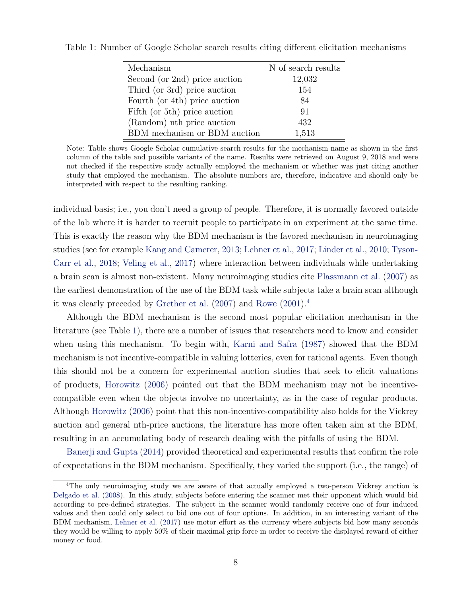| Mechanism                     | N of search results |
|-------------------------------|---------------------|
| Second (or 2nd) price auction | 12,032              |
| Third (or 3rd) price auction  | 154                 |
| Fourth (or 4th) price auction | 84                  |
| Fifth (or 5th) price auction  | 91                  |
| (Random) nth price auction    | 432                 |
| BDM mechanism or BDM auction  | 1,513               |

Table 1: Number of Google Scholar search results citing different elicitation mechanisms

Note: Table shows Google Scholar cumulative search results for the mechanism name as shown in the first column of the table and possible variants of the name. Results were retrieved on August 9, 2018 and were not checked if the respective study actually employed the mechanism or whether was just citing another study that employed the mechanism. The absolute numbers are, therefore, indicative and should only be interpreted with respect to the resulting ranking.

individual basis; i.e., you don't need a group of people. Therefore, it is normally favored outside of the lab where it is harder to recruit people to participate in an experiment at the same time. This is exactly the reason why the BDM mechanism is the favored mechanism in neuroimaging studies (see for example Kang and Camerer, 2013; Lehner et al., 2017; Linder et al., 2010; Tyson-Carr et al., 2018; Veling et al., 2017) where interaction between individuals while undertaking a brain scan is almost non-existent. Many neuroimaging studies cite Plassmann et al. (2007) as the earliest demonstration of the use of the BDM task while subjects take a brain scan although it was clearly preceded by Grether et al. (2007) and Rowe (2001).<sup>4</sup>

Although the BDM mechanism is the second most popular elicitation mechanism in the literature (see Table 1), there are a number of issues that researchers need to know and consider when using this mechanism. To begin with, Karni and Safra (1987) showed that the BDM mechanism is not incentive-compatible in valuing lotteries, even for rational agents. Even though this should not be a concern for experimental auction studies that seek to elicit valuations of products, Horowitz (2006) pointed out that the BDM mechanism may not be incentivecompatible even when the objects involve no uncertainty, as in the case of regular products. Although Horowitz (2006) point that this non-incentive-compatibility also holds for the Vickrey auction and general nth-price auctions, the literature has more often taken aim at the BDM, resulting in an accumulating body of research dealing with the pitfalls of using the BDM.

Banerji and Gupta (2014) provided theoretical and experimental results that confirm the role of expectations in the BDM mechanism. Specifically, they varied the support (i.e., the range) of

<sup>&</sup>lt;sup>4</sup>The only neuroimaging study we are aware of that actually employed a two-person Vickrey auction is Delgado et al. (2008). In this study, subjects before entering the scanner met their opponent which would bid according to pre-defined strategies. The subject in the scanner would randomly receive one of four induced values and then could only select to bid one out of four options. In addition, in an interesting variant of the BDM mechanism, Lehner et al. (2017) use motor effort as the currency where subjects bid how many seconds they would be willing to apply 50% of their maximal grip force in order to receive the displayed reward of either money or food.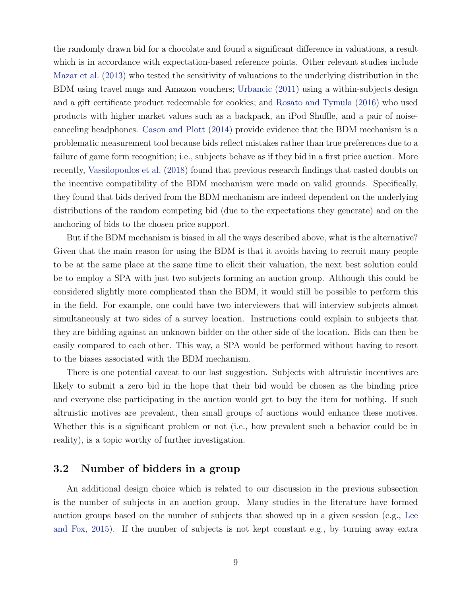the randomly drawn bid for a chocolate and found a significant difference in valuations, a result which is in accordance with expectation-based reference points. Other relevant studies include Mazar et al. (2013) who tested the sensitivity of valuations to the underlying distribution in the BDM using travel mugs and Amazon vouchers; Urbancic (2011) using a within-subjects design and a gift certificate product redeemable for cookies; and Rosato and Tymula (2016) who used products with higher market values such as a backpack, an iPod Shuffle, and a pair of noisecanceling headphones. Cason and Plott (2014) provide evidence that the BDM mechanism is a problematic measurement tool because bids reflect mistakes rather than true preferences due to a failure of game form recognition; i.e., subjects behave as if they bid in a first price auction. More recently, Vassilopoulos et al. (2018) found that previous research findings that casted doubts on the incentive compatibility of the BDM mechanism were made on valid grounds. Specifically, they found that bids derived from the BDM mechanism are indeed dependent on the underlying distributions of the random competing bid (due to the expectations they generate) and on the anchoring of bids to the chosen price support.

But if the BDM mechanism is biased in all the ways described above, what is the alternative? Given that the main reason for using the BDM is that it avoids having to recruit many people to be at the same place at the same time to elicit their valuation, the next best solution could be to employ a SPA with just two subjects forming an auction group. Although this could be considered slightly more complicated than the BDM, it would still be possible to perform this in the field. For example, one could have two interviewers that will interview subjects almost simultaneously at two sides of a survey location. Instructions could explain to subjects that they are bidding against an unknown bidder on the other side of the location. Bids can then be easily compared to each other. This way, a SPA would be performed without having to resort to the biases associated with the BDM mechanism.

There is one potential caveat to our last suggestion. Subjects with altruistic incentives are likely to submit a zero bid in the hope that their bid would be chosen as the binding price and everyone else participating in the auction would get to buy the item for nothing. If such altruistic motives are prevalent, then small groups of auctions would enhance these motives. Whether this is a significant problem or not (i.e., how prevalent such a behavior could be in reality), is a topic worthy of further investigation.

### 3.2 Number of bidders in a group

An additional design choice which is related to our discussion in the previous subsection is the number of subjects in an auction group. Many studies in the literature have formed auction groups based on the number of subjects that showed up in a given session (e.g., Lee and Fox, 2015). If the number of subjects is not kept constant e.g., by turning away extra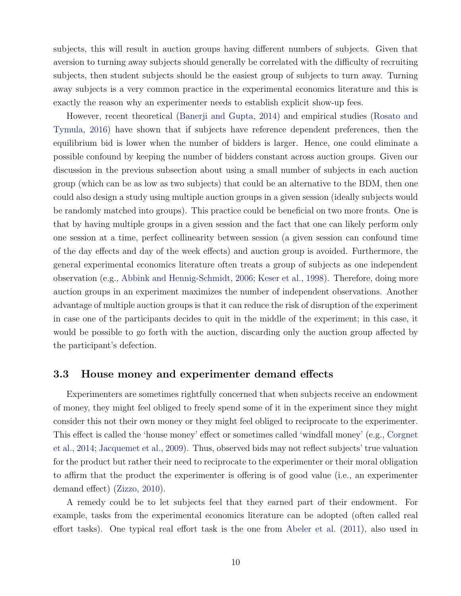subjects, this will result in auction groups having different numbers of subjects. Given that aversion to turning away subjects should generally be correlated with the difficulty of recruiting subjects, then student subjects should be the easiest group of subjects to turn away. Turning away subjects is a very common practice in the experimental economics literature and this is exactly the reason why an experimenter needs to establish explicit show-up fees.

However, recent theoretical (Banerji and Gupta, 2014) and empirical studies (Rosato and Tymula, 2016) have shown that if subjects have reference dependent preferences, then the equilibrium bid is lower when the number of bidders is larger. Hence, one could eliminate a possible confound by keeping the number of bidders constant across auction groups. Given our discussion in the previous subsection about using a small number of subjects in each auction group (which can be as low as two subjects) that could be an alternative to the BDM, then one could also design a study using multiple auction groups in a given session (ideally subjects would be randomly matched into groups). This practice could be beneficial on two more fronts. One is that by having multiple groups in a given session and the fact that one can likely perform only one session at a time, perfect collinearity between session (a given session can confound time of the day effects and day of the week effects) and auction group is avoided. Furthermore, the general experimental economics literature often treats a group of subjects as one independent observation (e.g., Abbink and Hennig-Schmidt, 2006; Keser et al., 1998). Therefore, doing more auction groups in an experiment maximizes the number of independent observations. Another advantage of multiple auction groups is that it can reduce the risk of disruption of the experiment in case one of the participants decides to quit in the middle of the experiment; in this case, it would be possible to go forth with the auction, discarding only the auction group affected by the participant's defection.

### 3.3 House money and experimenter demand effects

Experimenters are sometimes rightfully concerned that when subjects receive an endowment of money, they might feel obliged to freely spend some of it in the experiment since they might consider this not their own money or they might feel obliged to reciprocate to the experimenter. This effect is called the 'house money' effect or sometimes called 'windfall money' (e.g., Corgnet et al., 2014; Jacquemet et al., 2009). Thus, observed bids may not reflect subjects' true valuation for the product but rather their need to reciprocate to the experimenter or their moral obligation to affirm that the product the experimenter is offering is of good value (i.e., an experimenter demand effect) (Zizzo, 2010).

A remedy could be to let subjects feel that they earned part of their endowment. For example, tasks from the experimental economics literature can be adopted (often called real effort tasks). One typical real effort task is the one from Abeler et al. (2011), also used in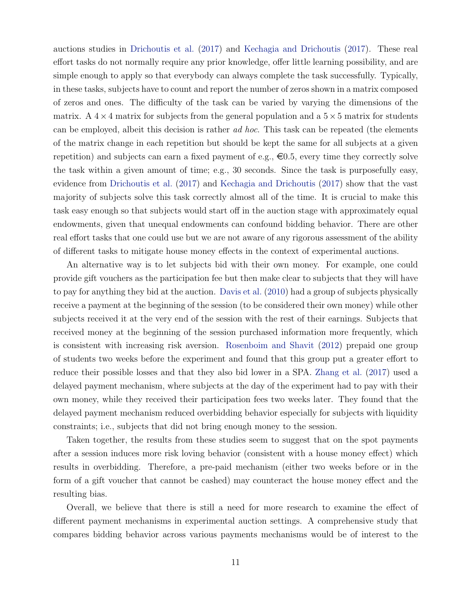auctions studies in Drichoutis et al. (2017) and Kechagia and Drichoutis (2017). These real effort tasks do not normally require any prior knowledge, offer little learning possibility, and are simple enough to apply so that everybody can always complete the task successfully. Typically, in these tasks, subjects have to count and report the number of zeros shown in a matrix composed of zeros and ones. The difficulty of the task can be varied by varying the dimensions of the matrix. A  $4 \times 4$  matrix for subjects from the general population and a  $5 \times 5$  matrix for students can be employed, albeit this decision is rather ad hoc. This task can be repeated (the elements of the matrix change in each repetition but should be kept the same for all subjects at a given repetition) and subjects can earn a fixed payment of e.g.,  $\epsilon 0.5$ , every time they correctly solve the task within a given amount of time; e.g., 30 seconds. Since the task is purposefully easy, evidence from Drichoutis et al. (2017) and Kechagia and Drichoutis (2017) show that the vast majority of subjects solve this task correctly almost all of the time. It is crucial to make this task easy enough so that subjects would start off in the auction stage with approximately equal endowments, given that unequal endowments can confound bidding behavior. There are other real effort tasks that one could use but we are not aware of any rigorous assessment of the ability of different tasks to mitigate house money effects in the context of experimental auctions.

An alternative way is to let subjects bid with their own money. For example, one could provide gift vouchers as the participation fee but then make clear to subjects that they will have to pay for anything they bid at the auction. Davis et al. (2010) had a group of subjects physically receive a payment at the beginning of the session (to be considered their own money) while other subjects received it at the very end of the session with the rest of their earnings. Subjects that received money at the beginning of the session purchased information more frequently, which is consistent with increasing risk aversion. Rosenboim and Shavit (2012) prepaid one group of students two weeks before the experiment and found that this group put a greater effort to reduce their possible losses and that they also bid lower in a SPA. Zhang et al. (2017) used a delayed payment mechanism, where subjects at the day of the experiment had to pay with their own money, while they received their participation fees two weeks later. They found that the delayed payment mechanism reduced overbidding behavior especially for subjects with liquidity constraints; i.e., subjects that did not bring enough money to the session.

Taken together, the results from these studies seem to suggest that on the spot payments after a session induces more risk loving behavior (consistent with a house money effect) which results in overbidding. Therefore, a pre-paid mechanism (either two weeks before or in the form of a gift voucher that cannot be cashed) may counteract the house money effect and the resulting bias.

Overall, we believe that there is still a need for more research to examine the effect of different payment mechanisms in experimental auction settings. A comprehensive study that compares bidding behavior across various payments mechanisms would be of interest to the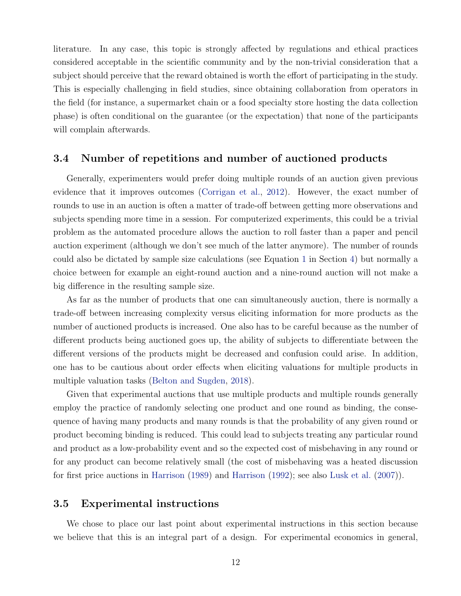literature. In any case, this topic is strongly affected by regulations and ethical practices considered acceptable in the scientific community and by the non-trivial consideration that a subject should perceive that the reward obtained is worth the effort of participating in the study. This is especially challenging in field studies, since obtaining collaboration from operators in the field (for instance, a supermarket chain or a food specialty store hosting the data collection phase) is often conditional on the guarantee (or the expectation) that none of the participants will complain afterwards.

#### 3.4 Number of repetitions and number of auctioned products

Generally, experimenters would prefer doing multiple rounds of an auction given previous evidence that it improves outcomes (Corrigan et al., 2012). However, the exact number of rounds to use in an auction is often a matter of trade-off between getting more observations and subjects spending more time in a session. For computerized experiments, this could be a trivial problem as the automated procedure allows the auction to roll faster than a paper and pencil auction experiment (although we don't see much of the latter anymore). The number of rounds could also be dictated by sample size calculations (see Equation 1 in Section 4) but normally a choice between for example an eight-round auction and a nine-round auction will not make a big difference in the resulting sample size.

As far as the number of products that one can simultaneously auction, there is normally a trade-off between increasing complexity versus eliciting information for more products as the number of auctioned products is increased. One also has to be careful because as the number of different products being auctioned goes up, the ability of subjects to differentiate between the different versions of the products might be decreased and confusion could arise. In addition, one has to be cautious about order effects when eliciting valuations for multiple products in multiple valuation tasks (Belton and Sugden, 2018).

Given that experimental auctions that use multiple products and multiple rounds generally employ the practice of randomly selecting one product and one round as binding, the consequence of having many products and many rounds is that the probability of any given round or product becoming binding is reduced. This could lead to subjects treating any particular round and product as a low-probability event and so the expected cost of misbehaving in any round or for any product can become relatively small (the cost of misbehaving was a heated discussion for first price auctions in Harrison (1989) and Harrison (1992); see also Lusk et al. (2007)).

### 3.5 Experimental instructions

We chose to place our last point about experimental instructions in this section because we believe that this is an integral part of a design. For experimental economics in general,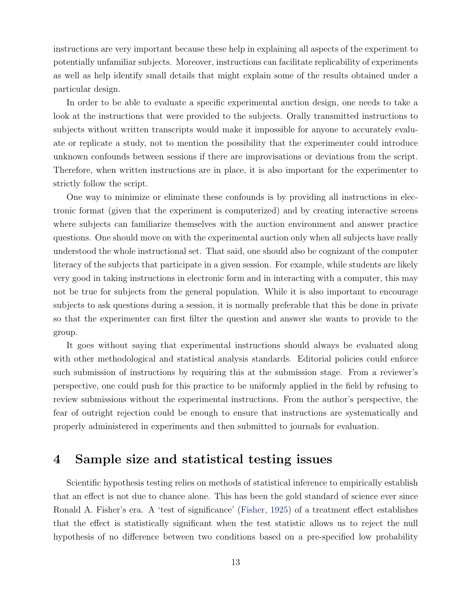instructions are very important because these help in explaining all aspects of the experiment to potentially unfamiliar subjects. Moreover, instructions can facilitate replicability of experiments as well as help identify small details that might explain some of the results obtained under a particular design.

In order to be able to evaluate a specific experimental auction design, one needs to take a look at the instructions that were provided to the subjects. Orally transmitted instructions to subjects without written transcripts would make it impossible for anyone to accurately evaluate or replicate a study, not to mention the possibility that the experimenter could introduce unknown confounds between sessions if there are improvisations or deviations from the script. Therefore, when written instructions are in place, it is also important for the experimenter to strictly follow the script.

One way to minimize or eliminate these confounds is by providing all instructions in electronic format (given that the experiment is computerized) and by creating interactive screens where subjects can familiarize themselves with the auction environment and answer practice questions. One should move on with the experimental auction only when all subjects have really understood the whole instructional set. That said, one should also be cognizant of the computer literacy of the subjects that participate in a given session. For example, while students are likely very good in taking instructions in electronic form and in interacting with a computer, this may not be true for subjects from the general population. While it is also important to encourage subjects to ask questions during a session, it is normally preferable that this be done in private so that the experimenter can first filter the question and answer she wants to provide to the group.

It goes without saying that experimental instructions should always be evaluated along with other methodological and statistical analysis standards. Editorial policies could enforce such submission of instructions by requiring this at the submission stage. From a reviewer's perspective, one could push for this practice to be uniformly applied in the field by refusing to review submissions without the experimental instructions. From the author's perspective, the fear of outright rejection could be enough to ensure that instructions are systematically and properly administered in experiments and then submitted to journals for evaluation.

### 4 Sample size and statistical testing issues

Scientific hypothesis testing relies on methods of statistical inference to empirically establish that an effect is not due to chance alone. This has been the gold standard of science ever since Ronald A. Fisher's era. A 'test of significance' (Fisher, 1925) of a treatment effect establishes that the effect is statistically significant when the test statistic allows us to reject the null hypothesis of no difference between two conditions based on a pre-specified low probability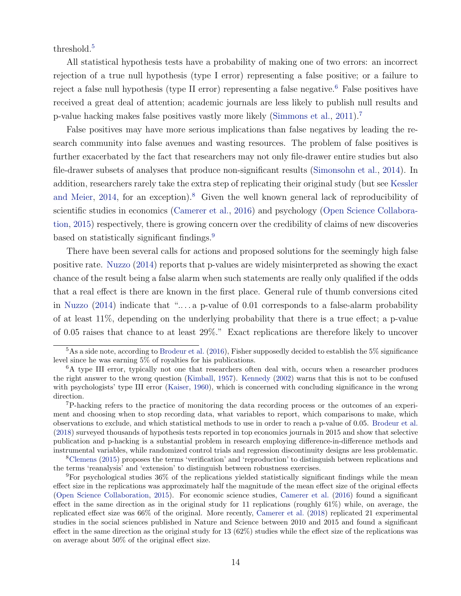threshold.<sup>5</sup>

All statistical hypothesis tests have a probability of making one of two errors: an incorrect rejection of a true null hypothesis (type I error) representing a false positive; or a failure to reject a false null hypothesis (type II error) representing a false negative.<sup>6</sup> False positives have received a great deal of attention; academic journals are less likely to publish null results and p-value hacking makes false positives vastly more likely (Simmons et al., 2011).<sup>7</sup>

False positives may have more serious implications than false negatives by leading the research community into false avenues and wasting resources. The problem of false positives is further exacerbated by the fact that researchers may not only file-drawer entire studies but also file-drawer subsets of analyses that produce non-significant results (Simonsohn et al., 2014). In addition, researchers rarely take the extra step of replicating their original study (but see Kessler and Meier, 2014, for an exception).<sup>8</sup> Given the well known general lack of reproducibility of scientific studies in economics (Camerer et al., 2016) and psychology (Open Science Collaboration, 2015) respectively, there is growing concern over the credibility of claims of new discoveries based on statistically significant findings.<sup>9</sup>

There have been several calls for actions and proposed solutions for the seemingly high false positive rate. Nuzzo (2014) reports that p-values are widely misinterpreted as showing the exact chance of the result being a false alarm when such statements are really only qualified if the odds that a real effect is there are known in the first place. General rule of thumb conversions cited in Nuzzo  $(2014)$  indicate that "... a p-value of 0.01 corresponds to a false-alarm probability of at least 11%, depending on the underlying probability that there is a true effect; a p-value of 0.05 raises that chance to at least 29%." Exact replications are therefore likely to uncover

 $5$ As a side note, according to Brodeur et al. (2016), Fisher supposedly decided to establish the  $5\%$  significance level since he was earning 5% of royalties for his publications.

<sup>&</sup>lt;sup>6</sup>A type III error, typically not one that researchers often deal with, occurs when a researcher produces the right answer to the wrong question (Kimball, 1957). Kennedy (2002) warns that this is not to be confused with psychologists' type III error (Kaiser, 1960), which is concerned with concluding significance in the wrong direction.

<sup>7</sup>P-hacking refers to the practice of monitoring the data recording process or the outcomes of an experiment and choosing when to stop recording data, what variables to report, which comparisons to make, which observations to exclude, and which statistical methods to use in order to reach a p-value of 0.05. Brodeur et al. (2018) surveyed thousands of hypothesis tests reported in top economics journals in 2015 and show that selective publication and p-hacking is a substantial problem in research employing difference-in-difference methods and instrumental variables, while randomized control trials and regression discontinuity designs are less problematic.

<sup>8</sup>Clemens (2015) proposes the terms 'verification' and 'reproduction' to distinguish between replications and the terms 'reanalysis' and 'extension' to distinguish between robustness exercises.

<sup>9</sup>For psychological studies 36% of the replications yielded statistically significant findings while the mean effect size in the replications was approximately half the magnitude of the mean effect size of the original effects (Open Science Collaboration, 2015). For economic science studies, Camerer et al. (2016) found a significant effect in the same direction as in the original study for 11 replications (roughly 61%) while, on average, the replicated effect size was 66% of the original. More recently, Camerer et al. (2018) replicated 21 experimental studies in the social sciences published in Nature and Science between 2010 and 2015 and found a significant effect in the same direction as the original study for 13 (62%) studies while the effect size of the replications was on average about 50% of the original effect size.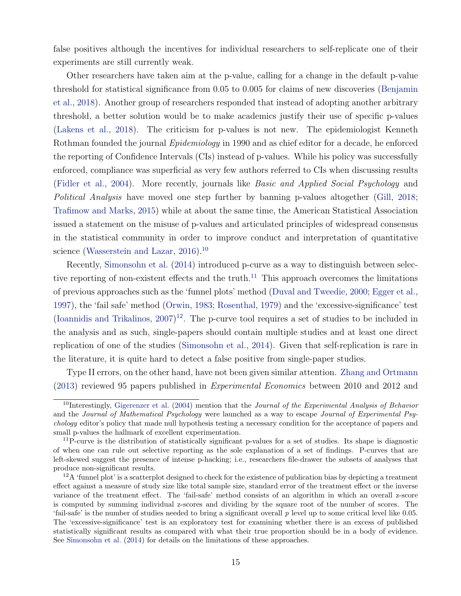false positives although the incentives for individual researchers to self-replicate one of their experiments are still currently weak.

Other researchers have taken aim at the p-value, calling for a change in the default p-value threshold for statistical significance from 0.05 to 0.005 for claims of new discoveries (Benjamin et al., 2018). Another group of researchers responded that instead of adopting another arbitrary threshold, a better solution would be to make academics justify their use of specific p-values (Lakens et al., 2018). The criticism for p-values is not new. The epidemiologist Kenneth Rothman founded the journal *Epidemiology* in 1990 and as chief editor for a decade, he enforced the reporting of Confidence Intervals (CIs) instead of p-values. While his policy was successfully enforced, compliance was superficial as very few authors referred to CIs when discussing results (Fidler et al., 2004). More recently, journals like Basic and Applied Social Psychology and Political Analysis have moved one step further by banning p-values altogether (Gill, 2018; Trafimow and Marks, 2015) while at about the same time, the American Statistical Association issued a statement on the misuse of p-values and articulated principles of widespread consensus in the statistical community in order to improve conduct and interpretation of quantitative science (Wasserstein and Lazar, 2016).<sup>10</sup>

Recently, Simonsohn et al. (2014) introduced p-curve as a way to distinguish between selective reporting of non-existent effects and the truth.<sup>11</sup> This approach overcomes the limitations of previous approaches such as the 'funnel plots' method (Duval and Tweedie, 2000; Egger et al., 1997), the 'fail safe' method (Orwin, 1983; Rosenthal, 1979) and the 'excessive-significance' test (Ioannidis and Trikalinos, 2007) <sup>12</sup>. The p-curve tool requires a set of studies to be included in the analysis and as such, single-papers should contain multiple studies and at least one direct replication of one of the studies (Simonsohn et al., 2014). Given that self-replication is rare in the literature, it is quite hard to detect a false positive from single-paper studies.

Type II errors, on the other hand, have not been given similar attention. Zhang and Ortmann (2013) reviewed 95 papers published in Experimental Economics between 2010 and 2012 and

<sup>&</sup>lt;sup>10</sup>Interestingly, Gigerenzer et al. (2004) mention that the *Journal of the Experimental Analysis of Behavior* and the Journal of Mathematical Psychology were launched as a way to escape Journal of Experimental Psychology editor's policy that made null hypothesis testing a necessary condition for the acceptance of papers and small p-values the hallmark of excellent experimentation.

 $11P$ -curve is the distribution of statistically significant p-values for a set of studies. Its shape is diagnostic of when one can rule out selective reporting as the sole explanation of a set of findings. P-curves that are left-skewed suggest the presence of intense p-hacking; i.e., researchers file-drawer the subsets of analyses that produce non-significant results.

 $12\text{A}$  'funnel plot' is a scatterplot designed to check for the existence of publication bias by depicting a treatment effect against a measure of study size like total sample size, standard error of the treatment effect or the inverse variance of the treatment effect. The 'fail-safe' method consists of an algorithm in which an overall z-score is computed by summing individual z-scores and dividing by the square root of the number of scores. The 'fail-safe' is the number of studies needed to bring a significant overall  $p$  level up to some critical level like 0.05. The 'excessive-significance' test is an exploratory test for examining whether there is an excess of published statistically significant results as compared with what their true proportion should be in a body of evidence. See Simonsohn et al. (2014) for details on the limitations of these approaches.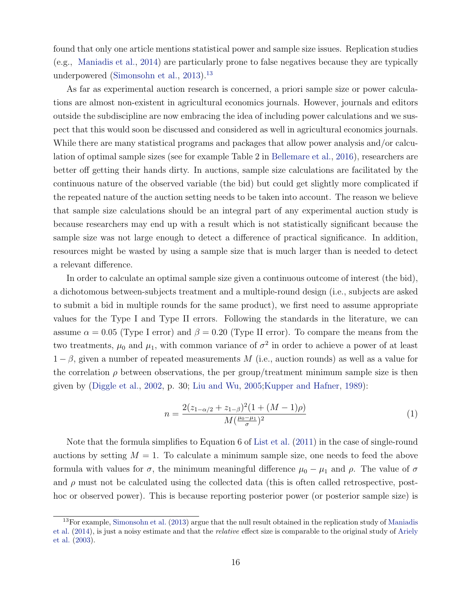found that only one article mentions statistical power and sample size issues. Replication studies (e.g., Maniadis et al., 2014) are particularly prone to false negatives because they are typically underpowered (Simonsohn et al., 2013).<sup>13</sup>

As far as experimental auction research is concerned, a priori sample size or power calculations are almost non-existent in agricultural economics journals. However, journals and editors outside the subdiscipline are now embracing the idea of including power calculations and we suspect that this would soon be discussed and considered as well in agricultural economics journals. While there are many statistical programs and packages that allow power analysis and/or calculation of optimal sample sizes (see for example Table 2 in Bellemare et al., 2016), researchers are better off getting their hands dirty. In auctions, sample size calculations are facilitated by the continuous nature of the observed variable (the bid) but could get slightly more complicated if the repeated nature of the auction setting needs to be taken into account. The reason we believe that sample size calculations should be an integral part of any experimental auction study is because researchers may end up with a result which is not statistically significant because the sample size was not large enough to detect a difference of practical significance. In addition, resources might be wasted by using a sample size that is much larger than is needed to detect a relevant difference.

In order to calculate an optimal sample size given a continuous outcome of interest (the bid), a dichotomous between-subjects treatment and a multiple-round design (i.e., subjects are asked to submit a bid in multiple rounds for the same product), we first need to assume appropriate values for the Type I and Type II errors. Following the standards in the literature, we can assume  $\alpha = 0.05$  (Type I error) and  $\beta = 0.20$  (Type II error). To compare the means from the two treatments,  $\mu_0$  and  $\mu_1$ , with common variance of  $\sigma^2$  in order to achieve a power of at least  $1 - \beta$ , given a number of repeated measurements M (i.e., auction rounds) as well as a value for the correlation  $\rho$  between observations, the per group/treatment minimum sample size is then given by (Diggle et al., 2002, p. 30; Liu and Wu, 2005;Kupper and Hafner, 1989):

$$
n = \frac{2(z_{1-\alpha/2} + z_{1-\beta})^2 (1 + (M-1)\rho)}{M(\frac{\mu_0 - \mu_1}{\sigma})^2}
$$
(1)

Note that the formula simplifies to Equation 6 of List et al. (2011) in the case of single-round auctions by setting  $M = 1$ . To calculate a minimum sample size, one needs to feed the above formula with values for  $\sigma$ , the minimum meaningful difference  $\mu_0 - \mu_1$  and  $\rho$ . The value of  $\sigma$ and  $\rho$  must not be calculated using the collected data (this is often called retrospective, posthoc or observed power). This is because reporting posterior power (or posterior sample size) is

<sup>&</sup>lt;sup>13</sup>For example, Simonsohn et al. (2013) argue that the null result obtained in the replication study of Maniadis et al. (2014), is just a noisy estimate and that the relative effect size is comparable to the original study of Ariely et al. (2003).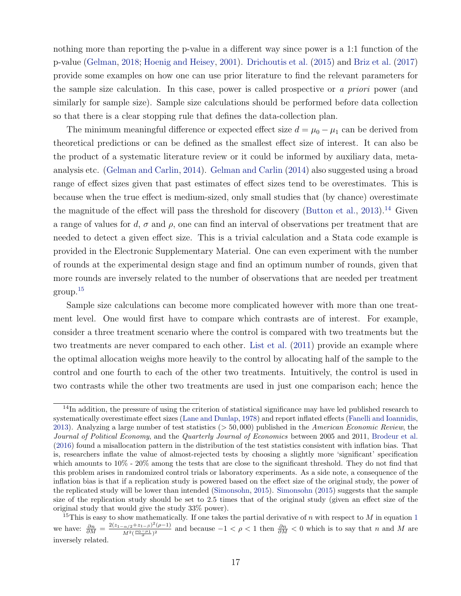nothing more than reporting the p-value in a different way since power is a 1:1 function of the p-value (Gelman, 2018; Hoenig and Heisey, 2001). Drichoutis et al. (2015) and Briz et al. (2017) provide some examples on how one can use prior literature to find the relevant parameters for the sample size calculation. In this case, power is called prospective or a priori power (and similarly for sample size). Sample size calculations should be performed before data collection so that there is a clear stopping rule that defines the data-collection plan.

The minimum meaningful difference or expected effect size  $d = \mu_0 - \mu_1$  can be derived from theoretical predictions or can be defined as the smallest effect size of interest. It can also be the product of a systematic literature review or it could be informed by auxiliary data, metaanalysis etc. (Gelman and Carlin, 2014). Gelman and Carlin (2014) also suggested using a broad range of effect sizes given that past estimates of effect sizes tend to be overestimates. This is because when the true effect is medium-sized, only small studies that (by chance) overestimate the magnitude of the effect will pass the threshold for discovery (Button et al., 2013).<sup>14</sup> Given a range of values for d,  $\sigma$  and  $\rho$ , one can find an interval of observations per treatment that are needed to detect a given effect size. This is a trivial calculation and a Stata code example is provided in the Electronic Supplementary Material. One can even experiment with the number of rounds at the experimental design stage and find an optimum number of rounds, given that more rounds are inversely related to the number of observations that are needed per treatment group.<sup>15</sup>

Sample size calculations can become more complicated however with more than one treatment level. One would first have to compare which contrasts are of interest. For example, consider a three treatment scenario where the control is compared with two treatments but the two treatments are never compared to each other. List et al. (2011) provide an example where the optimal allocation weighs more heavily to the control by allocating half of the sample to the control and one fourth to each of the other two treatments. Intuitively, the control is used in two contrasts while the other two treatments are used in just one comparison each; hence the

 $14$ In addition, the pressure of using the criterion of statistical significance may have led published research to systematically overestimate effect sizes (Lane and Dunlap, 1978) and report inflated effects (Fanelli and Ioannidis, 2013). Analyzing a large number of test statistics  $(> 50,000)$  published in the American Economic Review, the Journal of Political Economy, and the Quarterly Journal of Economics between 2005 and 2011, Brodeur et al. (2016) found a misallocation pattern in the distribution of the test statistics consistent with inflation bias. That is, researchers inflate the value of almost-rejected tests by choosing a slightly more 'significant' specification which amounts to 10% - 20% among the tests that are close to the significant threshold. They do not find that this problem arises in randomized control trials or laboratory experiments. As a side note, a consequence of the inflation bias is that if a replication study is powered based on the effect size of the original study, the power of the replicated study will be lower than intended (Simonsohn, 2015). Simonsohn (2015) suggests that the sample size of the replication study should be set to 2.5 times that of the original study (given an effect size of the original study that would give the study 33% power).

<sup>&</sup>lt;sup>15</sup>This is easy to show mathematically. If one takes the partial derivative of n with respect to M in equation 1 we have:  $\frac{\partial n}{\partial M} = \frac{2(z_{1-\alpha/2}+z_{1-\beta})^2(\rho-1)}{M^2(\frac{\mu_0-\mu_1}{2})^2}$  $\frac{(\alpha/2+2i-\beta)^2(\rho-1)}{d^2(\frac{\mu_0-\mu_1}{\sigma})^2}$  and because  $-1 < \rho < 1$  then  $\frac{\partial n}{\partial M} < 0$  which is to say that n and M are inversely related.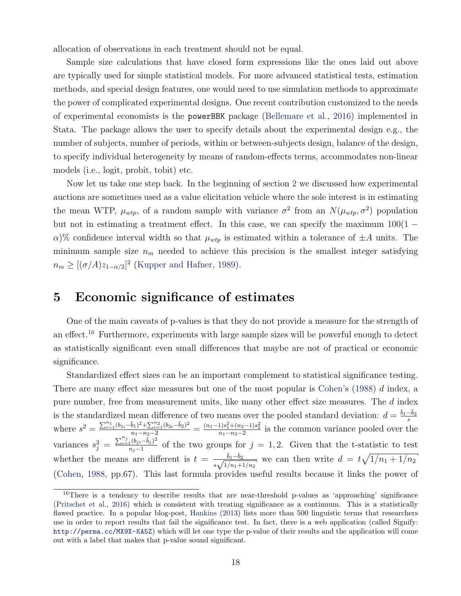allocation of observations in each treatment should not be equal.

Sample size calculations that have closed form expressions like the ones laid out above are typically used for simple statistical models. For more advanced statistical tests, estimation methods, and special design features, one would need to use simulation methods to approximate the power of complicated experimental designs. One recent contribution customized to the needs of experimental economists is the powerBBK package (Bellemare et al., 2016) implemented in Stata. The package allows the user to specify details about the experimental design e.g., the number of subjects, number of periods, within or between-subjects design, balance of the design, to specify individual heterogeneity by means of random-effects terms, accommodates non-linear models (i.e., logit, probit, tobit) etc.

Now let us take one step back. In the beginning of section 2 we discussed how experimental auctions are sometimes used as a value elicitation vehicle where the sole interest is in estimating the mean WTP,  $\mu_{wtp}$ , of a random sample with variance  $\sigma^2$  from an  $N(\mu_{wtp}, \sigma^2)$  population but not in estimating a treatment effect. In this case, we can specify the maximum  $100(1 \alpha$ )% confidence interval width so that  $\mu_{wtp}$  is estimated within a tolerance of  $\pm A$  units. The minimum sample size  $n_m$  needed to achieve this precision is the smallest integer satisfying  $n_m \geq [(\sigma/A)z_{1-\alpha/2}]^2$  (Kupper and Hafner, 1989).

### 5 Economic significance of estimates

One of the main caveats of p-values is that they do not provide a measure for the strength of an effect.<sup>16</sup> Furthermore, experiments with large sample sizes will be powerful enough to detect as statistically significant even small differences that maybe are not of practical or economic significance.

Standardized effect sizes can be an important complement to statistical significance testing. There are many effect size measures but one of the most popular is Cohen's  $(1988)$  d index, a pure number, free from measurement units, like many other effect size measures. The d index is the standardized mean difference of two means over the pooled standard deviation:  $d = \frac{\bar{b}_1 - \bar{b}_2}{s}$ s where  $s^2 = \frac{\sum_{i=1}^{n_1} (b_{1i} - \bar{b}_1)^2 + \sum_{i=1}^{n_2} (b_{2i} - \bar{b}_2)^2}{n_1 - n_2 - 2} = \frac{(n_1 - 1)s_1^2 + (n_2 - 1)s_2^2}{n_1 - n_2 - 2}$  is the common variance pooled over the variances  $s_j^2 = \frac{\sum_{i=1}^{n_j} (b_{ji} - \bar{b}_j)^2}{n_j - 1}$  $\frac{10(j_i - \sigma_j)}{n_j - 1}$  of the two groups for  $j = 1, 2$ . Given that the t-statistic to test whether the means are different is  $t = \frac{\bar{b}_1 - \bar{b}_2}{\sqrt{1-\bar{b}_2}}$  $\frac{b_1 - b_2}{s\sqrt{1/n_1 + 1/n_2}}$  we can then write  $d = t\sqrt{1/n_1 + 1/n_2}$ (Cohen, 1988, pp.67). This last formula provides useful results because it links the power of

<sup>&</sup>lt;sup>16</sup>There is a tendency to describe results that are near-threshold p-values as 'approaching' significance (Pritschet et al., 2016) which is consistent with treating significance as a continuum. This is a statistically flawed practice. In a popular blog-post, Hankins (2013) lists more than 500 linguistic terms that researchers use in order to report results that fail the significance test. In fact, there is a web application (called Signify: http://perma.cc/MX9X-KA5Z) which will let one type the p-value of their results and the application will come out with a label that makes that p-value sound significant.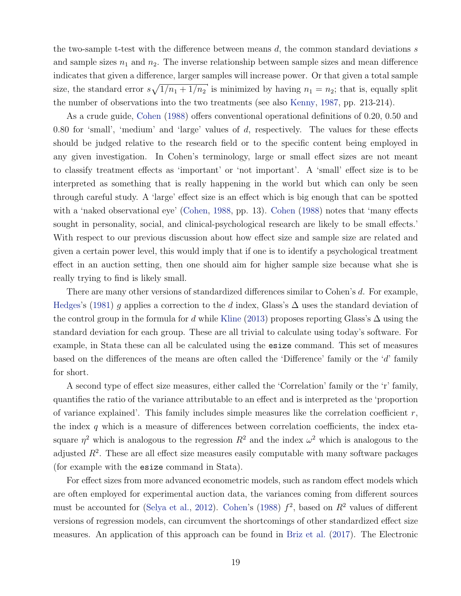the two-sample t-test with the difference between means  $d$ , the common standard deviations  $s$ and sample sizes  $n_1$  and  $n_2$ . The inverse relationship between sample sizes and mean difference indicates that given a difference, larger samples will increase power. Or that given a total sample size, the standard error  $s\sqrt{1/n_1 + 1/n_2}$  is minimized by having  $n_1 = n_2$ ; that is, equally split the number of observations into the two treatments (see also Kenny, 1987, pp. 213-214).

As a crude guide, Cohen (1988) offers conventional operational definitions of 0.20, 0.50 and 0.80 for 'small', 'medium' and 'large' values of  $d$ , respectively. The values for these effects should be judged relative to the research field or to the specific content being employed in any given investigation. In Cohen's terminology, large or small effect sizes are not meant to classify treatment effects as 'important' or 'not important'. A 'small' effect size is to be interpreted as something that is really happening in the world but which can only be seen through careful study. A 'large' effect size is an effect which is big enough that can be spotted with a 'naked observational eye' (Cohen, 1988, pp. 13). Cohen (1988) notes that 'many effects sought in personality, social, and clinical-psychological research are likely to be small effects.' With respect to our previous discussion about how effect size and sample size are related and given a certain power level, this would imply that if one is to identify a psychological treatment effect in an auction setting, then one should aim for higher sample size because what she is really trying to find is likely small.

There are many other versions of standardized differences similar to Cohen's d. For example, Hedges's (1981) g applies a correction to the d index, Glass's  $\Delta$  uses the standard deviation of the control group in the formula for d while Kline (2013) proposes reporting Glass's  $\Delta$  using the standard deviation for each group. These are all trivial to calculate using today's software. For example, in Stata these can all be calculated using the esize command. This set of measures based on the differences of the means are often called the 'Difference' family or the 'd' family for short.

A second type of effect size measures, either called the 'Correlation' family or the 'r' family, quantifies the ratio of the variance attributable to an effect and is interpreted as the 'proportion of variance explained'. This family includes simple measures like the correlation coefficient  $r$ , the index  $q$  which is a measure of differences between correlation coefficients, the index etasquare  $\eta^2$  which is analogous to the regression  $R^2$  and the index  $\omega^2$  which is analogous to the adjusted  $R<sup>2</sup>$ . These are all effect size measures easily computable with many software packages (for example with the esize command in Stata).

For effect sizes from more advanced econometric models, such as random effect models which are often employed for experimental auction data, the variances coming from different sources must be accounted for (Selya et al., 2012). Cohen's (1988)  $f^2$ , based on  $R^2$  values of different versions of regression models, can circumvent the shortcomings of other standardized effect size measures. An application of this approach can be found in Briz et al. (2017). The Electronic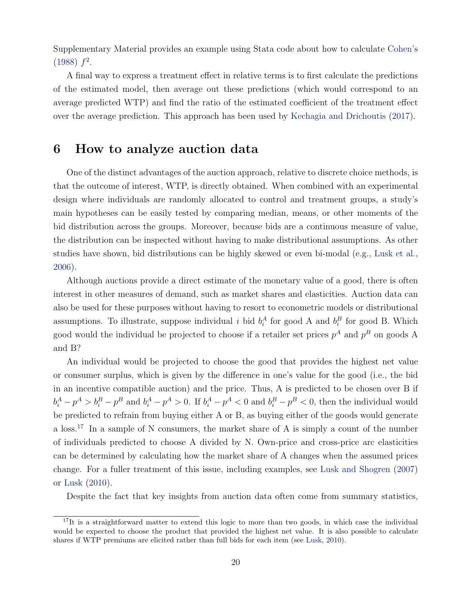Supplementary Material provides an example using Stata code about how to calculate Cohen's  $(1988) f<sup>2</sup>$ .

A final way to express a treatment effect in relative terms is to first calculate the predictions of the estimated model, then average out these predictions (which would correspond to an average predicted WTP) and find the ratio of the estimated coefficient of the treatment effect over the average prediction. This approach has been used by Kechagia and Drichoutis (2017).

### 6 How to analyze auction data

One of the distinct advantages of the auction approach, relative to discrete choice methods, is that the outcome of interest, WTP, is directly obtained. When combined with an experimental design where individuals are randomly allocated to control and treatment groups, a study's main hypotheses can be easily tested by comparing median, means, or other moments of the bid distribution across the groups. Moreover, because bids are a continuous measure of value, the distribution can be inspected without having to make distributional assumptions. As other studies have shown, bid distributions can be highly skewed or even bi-modal (e.g., Lusk et al., 2006).

Although auctions provide a direct estimate of the monetary value of a good, there is often interest in other measures of demand, such as market shares and elasticities. Auction data can also be used for these purposes without having to resort to econometric models or distributional assumptions. To illustrate, suppose individual i bid  $b_i^A$  for good A and  $b_i^B$  for good B. Which good would the individual be projected to choose if a retailer set prices  $p^A$  and  $p^B$  on goods A and B?

An individual would be projected to choose the good that provides the highest net value or consumer surplus, which is given by the difference in one's value for the good (i.e., the bid in an incentive compatible auction) and the price. Thus, A is predicted to be chosen over B if  $b_i^A - p^A > b_i^B - p^B$  and  $b_i^A - p^A > 0$ . If  $b_i^A - p^A < 0$  and  $b_i^B - p^B < 0$ , then the individual would be predicted to refrain from buying either A or B, as buying either of the goods would generate a loss.<sup>17</sup> In a sample of N consumers, the market share of A is simply a count of the number of individuals predicted to choose A divided by N. Own-price and cross-price arc elasticities can be determined by calculating how the market share of A changes when the assumed prices change. For a fuller treatment of this issue, including examples, see Lusk and Shogren (2007) or Lusk (2010).

Despite the fact that key insights from auction data often come from summary statistics,

 $17$ It is a straightforward matter to extend this logic to more than two goods, in which case the individual would be expected to choose the product that provided the highest net value. It is also possible to calculate shares if WTP premiums are elicited rather than full bids for each item (see Lusk, 2010).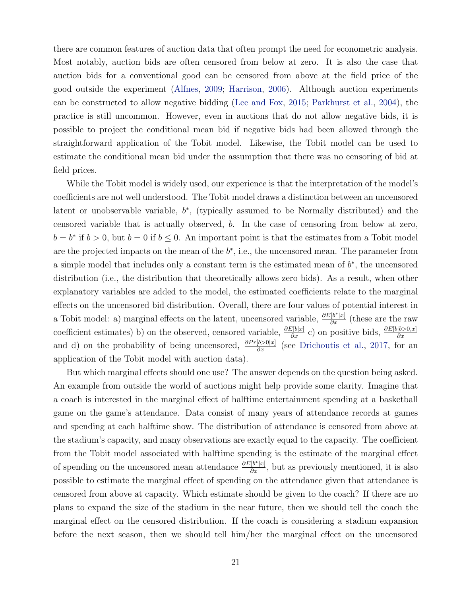there are common features of auction data that often prompt the need for econometric analysis. Most notably, auction bids are often censored from below at zero. It is also the case that auction bids for a conventional good can be censored from above at the field price of the good outside the experiment (Alfnes, 2009; Harrison, 2006). Although auction experiments can be constructed to allow negative bidding (Lee and Fox, 2015; Parkhurst et al., 2004), the practice is still uncommon. However, even in auctions that do not allow negative bids, it is possible to project the conditional mean bid if negative bids had been allowed through the straightforward application of the Tobit model. Likewise, the Tobit model can be used to estimate the conditional mean bid under the assumption that there was no censoring of bid at field prices.

While the Tobit model is widely used, our experience is that the interpretation of the model's coefficients are not well understood. The Tobit model draws a distinction between an uncensored latent or unobservable variable,  $b^*$ , (typically assumed to be Normally distributed) and the censored variable that is actually observed, b. In the case of censoring from below at zero,  $b = b^*$  if  $b > 0$ , but  $b = 0$  if  $b \le 0$ . An important point is that the estimates from a Tobit model are the projected impacts on the mean of the  $b^*$ , i.e., the uncensored mean. The parameter from a simple model that includes only a constant term is the estimated mean of  $b^*$ , the uncensored distribution (i.e., the distribution that theoretically allows zero bids). As a result, when other explanatory variables are added to the model, the estimated coefficients relate to the marginal effects on the uncensored bid distribution. Overall, there are four values of potential interest in a Tobit model: a) marginal effects on the latent, uncensored variable,  $\frac{\partial E[b^*|x]}{\partial x}$  (these are the raw coefficient estimates) b) on the observed, censored variable,  $\frac{\partial E[b|x]}{\partial x}$  c) on positive bids,  $\frac{\partial E[b|b>0,x]}{\partial x}$ and d) on the probability of being uncensored,  $\frac{\partial Pr[b>0|x]}{\partial x}$  (see Drichoutis et al., 2017, for an application of the Tobit model with auction data).

But which marginal effects should one use? The answer depends on the question being asked. An example from outside the world of auctions might help provide some clarity. Imagine that a coach is interested in the marginal effect of halftime entertainment spending at a basketball game on the game's attendance. Data consist of many years of attendance records at games and spending at each halftime show. The distribution of attendance is censored from above at the stadium's capacity, and many observations are exactly equal to the capacity. The coefficient from the Tobit model associated with halftime spending is the estimate of the marginal effect of spending on the uncensored mean attendance  $\frac{\partial E[b^*|x]}{\partial x}$ , but as previously mentioned, it is also possible to estimate the marginal effect of spending on the attendance given that attendance is censored from above at capacity. Which estimate should be given to the coach? If there are no plans to expand the size of the stadium in the near future, then we should tell the coach the marginal effect on the censored distribution. If the coach is considering a stadium expansion before the next season, then we should tell him/her the marginal effect on the uncensored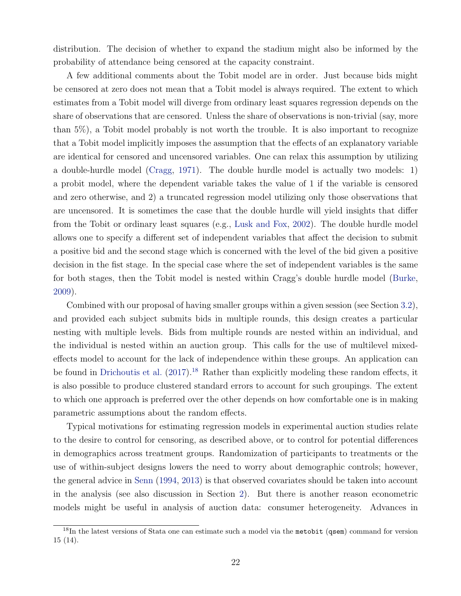distribution. The decision of whether to expand the stadium might also be informed by the probability of attendance being censored at the capacity constraint.

A few additional comments about the Tobit model are in order. Just because bids might be censored at zero does not mean that a Tobit model is always required. The extent to which estimates from a Tobit model will diverge from ordinary least squares regression depends on the share of observations that are censored. Unless the share of observations is non-trivial (say, more than 5%), a Tobit model probably is not worth the trouble. It is also important to recognize that a Tobit model implicitly imposes the assumption that the effects of an explanatory variable are identical for censored and uncensored variables. One can relax this assumption by utilizing a double-hurdle model (Cragg, 1971). The double hurdle model is actually two models: 1) a probit model, where the dependent variable takes the value of 1 if the variable is censored and zero otherwise, and 2) a truncated regression model utilizing only those observations that are uncensored. It is sometimes the case that the double hurdle will yield insights that differ from the Tobit or ordinary least squares (e.g., Lusk and Fox, 2002). The double hurdle model allows one to specify a different set of independent variables that affect the decision to submit a positive bid and the second stage which is concerned with the level of the bid given a positive decision in the fist stage. In the special case where the set of independent variables is the same for both stages, then the Tobit model is nested within Cragg's double hurdle model (Burke, 2009).

Combined with our proposal of having smaller groups within a given session (see Section 3.2), and provided each subject submits bids in multiple rounds, this design creates a particular nesting with multiple levels. Bids from multiple rounds are nested within an individual, and the individual is nested within an auction group. This calls for the use of multilevel mixedeffects model to account for the lack of independence within these groups. An application can be found in Drichoutis et al. (2017).<sup>18</sup> Rather than explicitly modeling these random effects, it is also possible to produce clustered standard errors to account for such groupings. The extent to which one approach is preferred over the other depends on how comfortable one is in making parametric assumptions about the random effects.

Typical motivations for estimating regression models in experimental auction studies relate to the desire to control for censoring, as described above, or to control for potential differences in demographics across treatment groups. Randomization of participants to treatments or the use of within-subject designs lowers the need to worry about demographic controls; however, the general advice in Senn (1994, 2013) is that observed covariates should be taken into account in the analysis (see also discussion in Section 2). But there is another reason econometric models might be useful in analysis of auction data: consumer heterogeneity. Advances in

<sup>&</sup>lt;sup>18</sup>In the latest versions of Stata one can estimate such a model via the metobit (qsem) command for version 15 (14).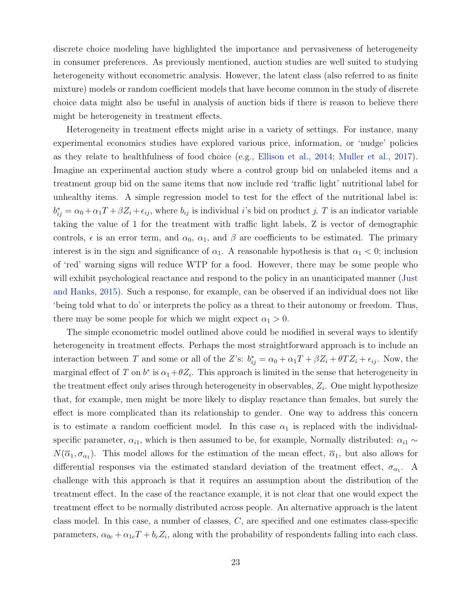discrete choice modeling have highlighted the importance and pervasiveness of heterogeneity in consumer preferences. As previously mentioned, auction studies are well suited to studying heterogeneity without econometric analysis. However, the latent class (also referred to as finite mixture) models or random coefficient models that have become common in the study of discrete choice data might also be useful in analysis of auction bids if there is reason to believe there might be heterogeneity in treatment effects.

Heterogeneity in treatment effects might arise in a variety of settings. For instance, many experimental economics studies have explored various price, information, or 'nudge' policies as they relate to healthfulness of food choice (e.g., Ellison et al., 2014; Muller et al., 2017). Imagine an experimental auction study where a control group bid on unlabeled items and a treatment group bid on the same items that now include red 'traffic light' nutritional label for unhealthy items. A simple regression model to test for the effect of the nutritional label is:  $b_{ij}^* = \alpha_0 + \alpha_1 T + \beta Z_i + \epsilon_{ij}$ , where  $b_{ij}$  is individual *i*'s bid on product *j*, *T* is an indicator variable taking the value of 1 for the treatment with traffic light labels, Z is vector of demographic controls,  $\epsilon$  is an error term, and  $\alpha_0$ ,  $\alpha_1$ , and  $\beta$  are coefficients to be estimated. The primary interest is in the sign and significance of  $\alpha_1$ . A reasonable hypothesis is that  $\alpha_1 < 0$ ; inclusion of 'red' warning signs will reduce WTP for a food. However, there may be some people who will exhibit psychological reactance and respond to the policy in an unanticipated manner (Just and Hanks, 2015). Such a response, for example, can be observed if an individual does not like 'being told what to do' or interprets the policy as a threat to their autonomy or freedom. Thus, there may be some people for which we might expect  $\alpha_1 > 0$ .

The simple econometric model outlined above could be modified in several ways to identify heterogeneity in treatment effects. Perhaps the most straightforward approach is to include an interaction between T and some or all of the Z's:  $b_{ij}^* = \alpha_0 + \alpha_1 T + \beta Z_i + \theta T Z_i + \epsilon_{ij}$ . Now, the marginal effect of T on  $b^*$  is  $\alpha_1 + \theta Z_i$ . This approach is limited in the sense that heterogeneity in the treatment effect only arises through heterogeneity in observables,  $Z_i$ . One might hypothesize that, for example, men might be more likely to display reactance than females, but surely the effect is more complicated than its relationship to gender. One way to address this concern is to estimate a random coefficient model. In this case  $\alpha_1$  is replaced with the individualspecific parameter,  $\alpha_{i1}$ , which is then assumed to be, for example, Normally distributed:  $\alpha_{i1} \sim$  $N(\overline{\alpha}_1,\sigma_{\alpha_1})$ . This model allows for the estimation of the mean effect,  $\overline{\alpha}_1$ , but also allows for differential responses via the estimated standard deviation of the treatment effect,  $\sigma_{\alpha_1}$ . A challenge with this approach is that it requires an assumption about the distribution of the treatment effect. In the case of the reactance example, it is not clear that one would expect the treatment effect to be normally distributed across people. An alternative approach is the latent class model. In this case, a number of classes, C, are specified and one estimates class-specific parameters,  $\alpha_{0c} + \alpha_{1c}T + b_cZ_i$ , along with the probability of respondents falling into each class.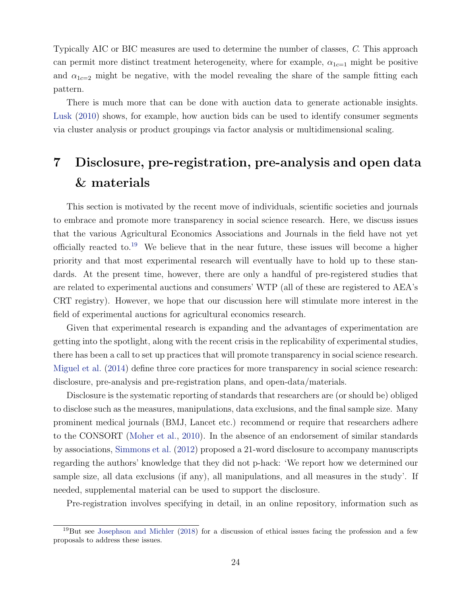Typically AIC or BIC measures are used to determine the number of classes, C. This approach can permit more distinct treatment heterogeneity, where for example,  $\alpha_{1c=1}$  might be positive and  $\alpha_{1c=2}$  might be negative, with the model revealing the share of the sample fitting each pattern.

There is much more that can be done with auction data to generate actionable insights. Lusk (2010) shows, for example, how auction bids can be used to identify consumer segments via cluster analysis or product groupings via factor analysis or multidimensional scaling.

# 7 Disclosure, pre-registration, pre-analysis and open data & materials

This section is motivated by the recent move of individuals, scientific societies and journals to embrace and promote more transparency in social science research. Here, we discuss issues that the various Agricultural Economics Associations and Journals in the field have not yet officially reacted to.<sup>19</sup> We believe that in the near future, these issues will become a higher priority and that most experimental research will eventually have to hold up to these standards. At the present time, however, there are only a handful of pre-registered studies that are related to experimental auctions and consumers' WTP (all of these are registered to AEA's CRT registry). However, we hope that our discussion here will stimulate more interest in the field of experimental auctions for agricultural economics research.

Given that experimental research is expanding and the advantages of experimentation are getting into the spotlight, along with the recent crisis in the replicability of experimental studies, there has been a call to set up practices that will promote transparency in social science research. Miguel et al. (2014) define three core practices for more transparency in social science research: disclosure, pre-analysis and pre-registration plans, and open-data/materials.

Disclosure is the systematic reporting of standards that researchers are (or should be) obliged to disclose such as the measures, manipulations, data exclusions, and the final sample size. Many prominent medical journals (BMJ, Lancet etc.) recommend or require that researchers adhere to the CONSORT (Moher et al., 2010). In the absence of an endorsement of similar standards by associations, Simmons et al. (2012) proposed a 21-word disclosure to accompany manuscripts regarding the authors' knowledge that they did not p-hack: 'We report how we determined our sample size, all data exclusions (if any), all manipulations, and all measures in the study'. If needed, supplemental material can be used to support the disclosure.

Pre-registration involves specifying in detail, in an online repository, information such as

<sup>19</sup>But see Josephson and Michler (2018) for a discussion of ethical issues facing the profession and a few proposals to address these issues.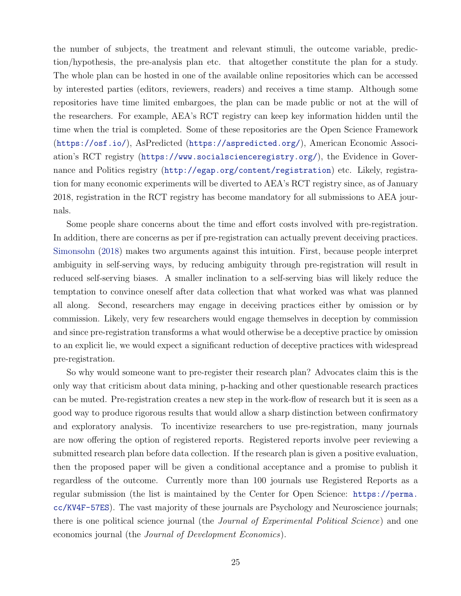the number of subjects, the treatment and relevant stimuli, the outcome variable, prediction/hypothesis, the pre-analysis plan etc. that altogether constitute the plan for a study. The whole plan can be hosted in one of the available online repositories which can be accessed by interested parties (editors, reviewers, readers) and receives a time stamp. Although some repositories have time limited embargoes, the plan can be made public or not at the will of the researchers. For example, AEA's RCT registry can keep key information hidden until the time when the trial is completed. Some of these repositories are the Open Science Framework (https://osf.io/), AsPredicted (https://aspredicted.org/), American Economic Association's RCT registry (https://www.socialscienceregistry.org/), the Evidence in Governance and Politics registry (http://egap.org/content/registration) etc. Likely, registration for many economic experiments will be diverted to AEA's RCT registry since, as of January 2018, registration in the RCT registry has become mandatory for all submissions to AEA journals.

Some people share concerns about the time and effort costs involved with pre-registration. In addition, there are concerns as per if pre-registration can actually prevent deceiving practices. Simonsohn (2018) makes two arguments against this intuition. First, because people interpret ambiguity in self-serving ways, by reducing ambiguity through pre-registration will result in reduced self-serving biases. A smaller inclination to a self-serving bias will likely reduce the temptation to convince oneself after data collection that what worked was what was planned all along. Second, researchers may engage in deceiving practices either by omission or by commission. Likely, very few researchers would engage themselves in deception by commission and since pre-registration transforms a what would otherwise be a deceptive practice by omission to an explicit lie, we would expect a significant reduction of deceptive practices with widespread pre-registration.

So why would someone want to pre-register their research plan? Advocates claim this is the only way that criticism about data mining, p-hacking and other questionable research practices can be muted. Pre-registration creates a new step in the work-flow of research but it is seen as a good way to produce rigorous results that would allow a sharp distinction between confirmatory and exploratory analysis. To incentivize researchers to use pre-registration, many journals are now offering the option of registered reports. Registered reports involve peer reviewing a submitted research plan before data collection. If the research plan is given a positive evaluation, then the proposed paper will be given a conditional acceptance and a promise to publish it regardless of the outcome. Currently more than 100 journals use Registered Reports as a regular submission (the list is maintained by the Center for Open Science: https://perma. cc/KV4F-57ES). The vast majority of these journals are Psychology and Neuroscience journals; there is one political science journal (the *Journal of Experimental Political Science*) and one economics journal (the Journal of Development Economics).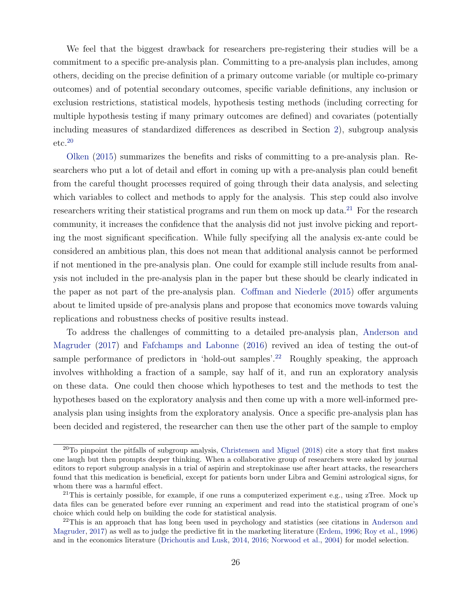We feel that the biggest drawback for researchers pre-registering their studies will be a commitment to a specific pre-analysis plan. Committing to a pre-analysis plan includes, among others, deciding on the precise definition of a primary outcome variable (or multiple co-primary outcomes) and of potential secondary outcomes, specific variable definitions, any inclusion or exclusion restrictions, statistical models, hypothesis testing methods (including correcting for multiple hypothesis testing if many primary outcomes are defined) and covariates (potentially including measures of standardized differences as described in Section 2), subgroup analysis  $etc.<sup>20</sup>$ 

Olken (2015) summarizes the benefits and risks of committing to a pre-analysis plan. Researchers who put a lot of detail and effort in coming up with a pre-analysis plan could benefit from the careful thought processes required of going through their data analysis, and selecting which variables to collect and methods to apply for the analysis. This step could also involve researchers writing their statistical programs and run them on mock up data.<sup>21</sup> For the research community, it increases the confidence that the analysis did not just involve picking and reporting the most significant specification. While fully specifying all the analysis ex-ante could be considered an ambitious plan, this does not mean that additional analysis cannot be performed if not mentioned in the pre-analysis plan. One could for example still include results from analysis not included in the pre-analysis plan in the paper but these should be clearly indicated in the paper as not part of the pre-analysis plan. Coffman and Niederle (2015) offer arguments about te limited upside of pre-analysis plans and propose that economics move towards valuing replications and robustness checks of positive results instead.

To address the challenges of committing to a detailed pre-analysis plan, Anderson and Magruder (2017) and Fafchamps and Labonne (2016) revived an idea of testing the out-of sample performance of predictors in 'hold-out samples'.<sup>22</sup> Roughly speaking, the approach involves withholding a fraction of a sample, say half of it, and run an exploratory analysis on these data. One could then choose which hypotheses to test and the methods to test the hypotheses based on the exploratory analysis and then come up with a more well-informed preanalysis plan using insights from the exploratory analysis. Once a specific pre-analysis plan has been decided and registered, the researcher can then use the other part of the sample to employ

 $20$ To pinpoint the pitfalls of subgroup analysis, Christensen and Miguel (2018) cite a story that first makes one laugh but then prompts deeper thinking. When a collaborative group of researchers were asked by journal editors to report subgroup analysis in a trial of aspirin and streptokinase use after heart attacks, the researchers found that this medication is beneficial, except for patients born under Libra and Gemini astrological signs, for whom there was a harmful effect.

 $21$ This is certainly possible, for example, if one runs a computerized experiment e.g., using zTree. Mock up data files can be generated before ever running an experiment and read into the statistical program of one's choice which could help on building the code for statistical analysis.

 $22$ This is an approach that has long been used in psychology and statistics (see citations in Anderson and Magruder, 2017) as well as to judge the predictive fit in the marketing literature (Erdem, 1996; Roy et al., 1996) and in the economics literature (Drichoutis and Lusk, 2014, 2016; Norwood et al., 2004) for model selection.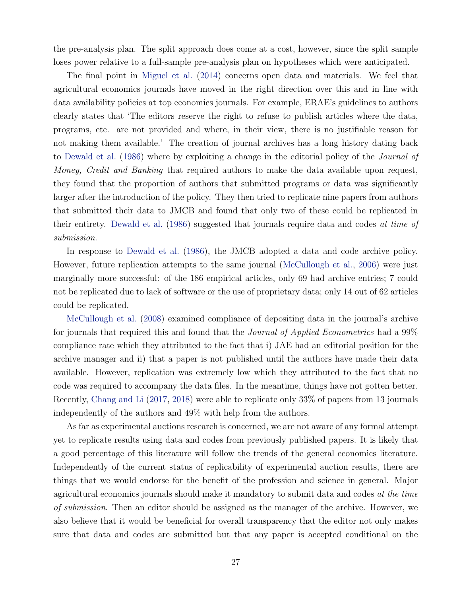the pre-analysis plan. The split approach does come at a cost, however, since the split sample loses power relative to a full-sample pre-analysis plan on hypotheses which were anticipated.

The final point in Miguel et al. (2014) concerns open data and materials. We feel that agricultural economics journals have moved in the right direction over this and in line with data availability policies at top economics journals. For example, ERAE's guidelines to authors clearly states that 'The editors reserve the right to refuse to publish articles where the data, programs, etc. are not provided and where, in their view, there is no justifiable reason for not making them available.' The creation of journal archives has a long history dating back to Dewald et al. (1986) where by exploiting a change in the editorial policy of the Journal of Money, Credit and Banking that required authors to make the data available upon request, they found that the proportion of authors that submitted programs or data was significantly larger after the introduction of the policy. They then tried to replicate nine papers from authors that submitted their data to JMCB and found that only two of these could be replicated in their entirety. Dewald et al. (1986) suggested that journals require data and codes at time of submission.

In response to Dewald et al. (1986), the JMCB adopted a data and code archive policy. However, future replication attempts to the same journal (McCullough et al., 2006) were just marginally more successful: of the 186 empirical articles, only 69 had archive entries; 7 could not be replicated due to lack of software or the use of proprietary data; only 14 out of 62 articles could be replicated.

McCullough et al. (2008) examined compliance of depositing data in the journal's archive for journals that required this and found that the *Journal of Applied Econometrics* had a 99% compliance rate which they attributed to the fact that i) JAE had an editorial position for the archive manager and ii) that a paper is not published until the authors have made their data available. However, replication was extremely low which they attributed to the fact that no code was required to accompany the data files. In the meantime, things have not gotten better. Recently, Chang and Li (2017, 2018) were able to replicate only 33% of papers from 13 journals independently of the authors and 49% with help from the authors.

As far as experimental auctions research is concerned, we are not aware of any formal attempt yet to replicate results using data and codes from previously published papers. It is likely that a good percentage of this literature will follow the trends of the general economics literature. Independently of the current status of replicability of experimental auction results, there are things that we would endorse for the benefit of the profession and science in general. Major agricultural economics journals should make it mandatory to submit data and codes at the time of submission. Then an editor should be assigned as the manager of the archive. However, we also believe that it would be beneficial for overall transparency that the editor not only makes sure that data and codes are submitted but that any paper is accepted conditional on the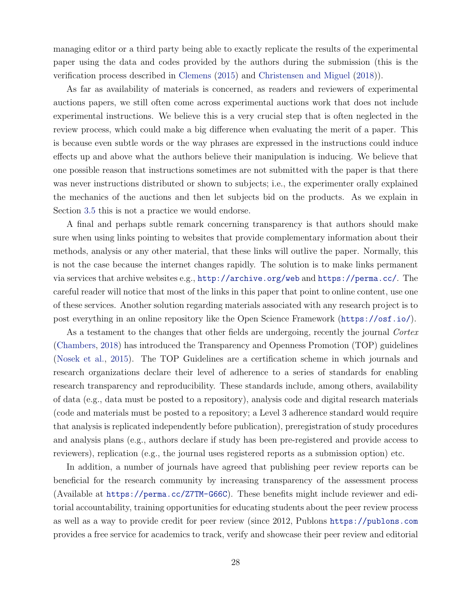managing editor or a third party being able to exactly replicate the results of the experimental paper using the data and codes provided by the authors during the submission (this is the verification process described in Clemens (2015) and Christensen and Miguel (2018)).

As far as availability of materials is concerned, as readers and reviewers of experimental auctions papers, we still often come across experimental auctions work that does not include experimental instructions. We believe this is a very crucial step that is often neglected in the review process, which could make a big difference when evaluating the merit of a paper. This is because even subtle words or the way phrases are expressed in the instructions could induce effects up and above what the authors believe their manipulation is inducing. We believe that one possible reason that instructions sometimes are not submitted with the paper is that there was never instructions distributed or shown to subjects; i.e., the experimenter orally explained the mechanics of the auctions and then let subjects bid on the products. As we explain in Section 3.5 this is not a practice we would endorse.

A final and perhaps subtle remark concerning transparency is that authors should make sure when using links pointing to websites that provide complementary information about their methods, analysis or any other material, that these links will outlive the paper. Normally, this is not the case because the internet changes rapidly. The solution is to make links permanent via services that archive websites e.g., http://archive.org/web and https://perma.cc/. The careful reader will notice that most of the links in this paper that point to online content, use one of these services. Another solution regarding materials associated with any research project is to post everything in an online repository like the Open Science Framework (https://osf.io/).

As a testament to the changes that other fields are undergoing, recently the journal Cortex (Chambers, 2018) has introduced the Transparency and Openness Promotion (TOP) guidelines (Nosek et al., 2015). The TOP Guidelines are a certification scheme in which journals and research organizations declare their level of adherence to a series of standards for enabling research transparency and reproducibility. These standards include, among others, availability of data (e.g., data must be posted to a repository), analysis code and digital research materials (code and materials must be posted to a repository; a Level 3 adherence standard would require that analysis is replicated independently before publication), preregistration of study procedures and analysis plans (e.g., authors declare if study has been pre-registered and provide access to reviewers), replication (e.g., the journal uses registered reports as a submission option) etc.

In addition, a number of journals have agreed that publishing peer review reports can be beneficial for the research community by increasing transparency of the assessment process (Available at https://perma.cc/Z7TM-G66C). These benefits might include reviewer and editorial accountability, training opportunities for educating students about the peer review process as well as a way to provide credit for peer review (since 2012, Publons https://publons.com provides a free service for academics to track, verify and showcase their peer review and editorial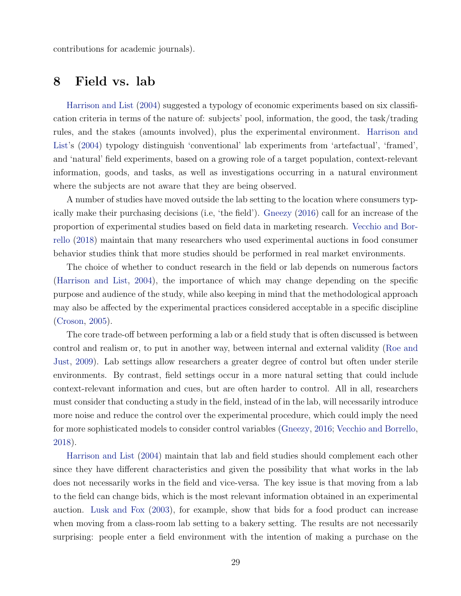contributions for academic journals).

## 8 Field vs. lab

Harrison and List (2004) suggested a typology of economic experiments based on six classification criteria in terms of the nature of: subjects' pool, information, the good, the task/trading rules, and the stakes (amounts involved), plus the experimental environment. Harrison and List's (2004) typology distinguish 'conventional' lab experiments from 'artefactual', 'framed', and 'natural' field experiments, based on a growing role of a target population, context-relevant information, goods, and tasks, as well as investigations occurring in a natural environment where the subjects are not aware that they are being observed.

A number of studies have moved outside the lab setting to the location where consumers typically make their purchasing decisions (i.e, 'the field'). Gneezy (2016) call for an increase of the proportion of experimental studies based on field data in marketing research. Vecchio and Borrello (2018) maintain that many researchers who used experimental auctions in food consumer behavior studies think that more studies should be performed in real market environments.

The choice of whether to conduct research in the field or lab depends on numerous factors (Harrison and List, 2004), the importance of which may change depending on the specific purpose and audience of the study, while also keeping in mind that the methodological approach may also be affected by the experimental practices considered acceptable in a specific discipline (Croson, 2005).

The core trade-off between performing a lab or a field study that is often discussed is between control and realism or, to put in another way, between internal and external validity (Roe and Just, 2009). Lab settings allow researchers a greater degree of control but often under sterile environments. By contrast, field settings occur in a more natural setting that could include context-relevant information and cues, but are often harder to control. All in all, researchers must consider that conducting a study in the field, instead of in the lab, will necessarily introduce more noise and reduce the control over the experimental procedure, which could imply the need for more sophisticated models to consider control variables (Gneezy, 2016; Vecchio and Borrello, 2018).

Harrison and List (2004) maintain that lab and field studies should complement each other since they have different characteristics and given the possibility that what works in the lab does not necessarily works in the field and vice-versa. The key issue is that moving from a lab to the field can change bids, which is the most relevant information obtained in an experimental auction. Lusk and Fox (2003), for example, show that bids for a food product can increase when moving from a class-room lab setting to a bakery setting. The results are not necessarily surprising: people enter a field environment with the intention of making a purchase on the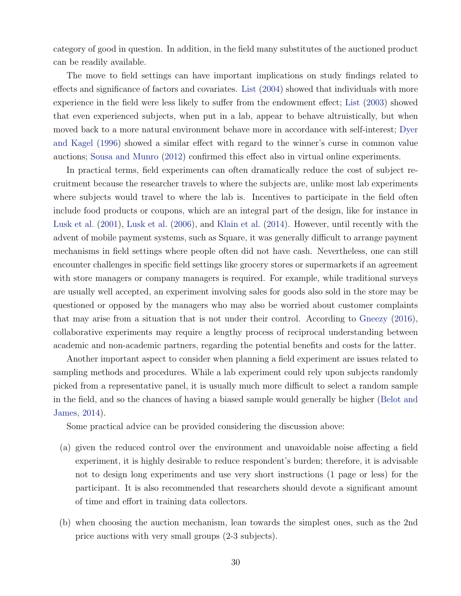category of good in question. In addition, in the field many substitutes of the auctioned product can be readily available.

The move to field settings can have important implications on study findings related to effects and significance of factors and covariates. List (2004) showed that individuals with more experience in the field were less likely to suffer from the endowment effect; List (2003) showed that even experienced subjects, when put in a lab, appear to behave altruistically, but when moved back to a more natural environment behave more in accordance with self-interest; Dyer and Kagel (1996) showed a similar effect with regard to the winner's curse in common value auctions; Sousa and Munro (2012) confirmed this effect also in virtual online experiments.

In practical terms, field experiments can often dramatically reduce the cost of subject recruitment because the researcher travels to where the subjects are, unlike most lab experiments where subjects would travel to where the lab is. Incentives to participate in the field often include food products or coupons, which are an integral part of the design, like for instance in Lusk et al. (2001), Lusk et al. (2006), and Klain et al. (2014). However, until recently with the advent of mobile payment systems, such as Square, it was generally difficult to arrange payment mechanisms in field settings where people often did not have cash. Nevertheless, one can still encounter challenges in specific field settings like grocery stores or supermarkets if an agreement with store managers or company managers is required. For example, while traditional surveys are usually well accepted, an experiment involving sales for goods also sold in the store may be questioned or opposed by the managers who may also be worried about customer complaints that may arise from a situation that is not under their control. According to Gneezy (2016), collaborative experiments may require a lengthy process of reciprocal understanding between academic and non-academic partners, regarding the potential benefits and costs for the latter.

Another important aspect to consider when planning a field experiment are issues related to sampling methods and procedures. While a lab experiment could rely upon subjects randomly picked from a representative panel, it is usually much more difficult to select a random sample in the field, and so the chances of having a biased sample would generally be higher (Belot and James, 2014).

Some practical advice can be provided considering the discussion above:

- (a) given the reduced control over the environment and unavoidable noise affecting a field experiment, it is highly desirable to reduce respondent's burden; therefore, it is advisable not to design long experiments and use very short instructions (1 page or less) for the participant. It is also recommended that researchers should devote a significant amount of time and effort in training data collectors.
- (b) when choosing the auction mechanism, lean towards the simplest ones, such as the 2nd price auctions with very small groups (2-3 subjects).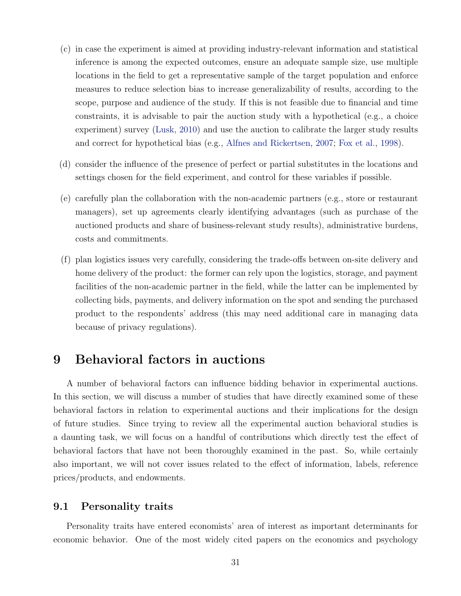- (c) in case the experiment is aimed at providing industry-relevant information and statistical inference is among the expected outcomes, ensure an adequate sample size, use multiple locations in the field to get a representative sample of the target population and enforce measures to reduce selection bias to increase generalizability of results, according to the scope, purpose and audience of the study. If this is not feasible due to financial and time constraints, it is advisable to pair the auction study with a hypothetical (e.g., a choice experiment) survey (Lusk, 2010) and use the auction to calibrate the larger study results and correct for hypothetical bias (e.g., Alfnes and Rickertsen, 2007; Fox et al., 1998).
- (d) consider the influence of the presence of perfect or partial substitutes in the locations and settings chosen for the field experiment, and control for these variables if possible.
- (e) carefully plan the collaboration with the non-academic partners (e.g., store or restaurant managers), set up agreements clearly identifying advantages (such as purchase of the auctioned products and share of business-relevant study results), administrative burdens, costs and commitments.
- (f) plan logistics issues very carefully, considering the trade-offs between on-site delivery and home delivery of the product: the former can rely upon the logistics, storage, and payment facilities of the non-academic partner in the field, while the latter can be implemented by collecting bids, payments, and delivery information on the spot and sending the purchased product to the respondents' address (this may need additional care in managing data because of privacy regulations).

## 9 Behavioral factors in auctions

A number of behavioral factors can influence bidding behavior in experimental auctions. In this section, we will discuss a number of studies that have directly examined some of these behavioral factors in relation to experimental auctions and their implications for the design of future studies. Since trying to review all the experimental auction behavioral studies is a daunting task, we will focus on a handful of contributions which directly test the effect of behavioral factors that have not been thoroughly examined in the past. So, while certainly also important, we will not cover issues related to the effect of information, labels, reference prices/products, and endowments.

### 9.1 Personality traits

Personality traits have entered economists' area of interest as important determinants for economic behavior. One of the most widely cited papers on the economics and psychology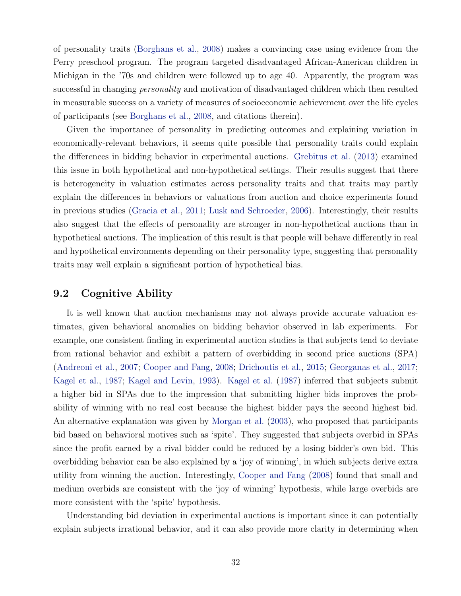of personality traits (Borghans et al., 2008) makes a convincing case using evidence from the Perry preschool program. The program targeted disadvantaged African-American children in Michigan in the '70s and children were followed up to age 40. Apparently, the program was successful in changing personality and motivation of disadvantaged children which then resulted in measurable success on a variety of measures of socioeconomic achievement over the life cycles of participants (see Borghans et al., 2008, and citations therein).

Given the importance of personality in predicting outcomes and explaining variation in economically-relevant behaviors, it seems quite possible that personality traits could explain the differences in bidding behavior in experimental auctions. Grebitus et al. (2013) examined this issue in both hypothetical and non-hypothetical settings. Their results suggest that there is heterogeneity in valuation estimates across personality traits and that traits may partly explain the differences in behaviors or valuations from auction and choice experiments found in previous studies (Gracia et al., 2011; Lusk and Schroeder, 2006). Interestingly, their results also suggest that the effects of personality are stronger in non-hypothetical auctions than in hypothetical auctions. The implication of this result is that people will behave differently in real and hypothetical environments depending on their personality type, suggesting that personality traits may well explain a significant portion of hypothetical bias.

### 9.2 Cognitive Ability

It is well known that auction mechanisms may not always provide accurate valuation estimates, given behavioral anomalies on bidding behavior observed in lab experiments. For example, one consistent finding in experimental auction studies is that subjects tend to deviate from rational behavior and exhibit a pattern of overbidding in second price auctions (SPA) (Andreoni et al., 2007; Cooper and Fang, 2008; Drichoutis et al., 2015; Georganas et al., 2017; Kagel et al., 1987; Kagel and Levin, 1993). Kagel et al. (1987) inferred that subjects submit a higher bid in SPAs due to the impression that submitting higher bids improves the probability of winning with no real cost because the highest bidder pays the second highest bid. An alternative explanation was given by Morgan et al. (2003), who proposed that participants bid based on behavioral motives such as 'spite'. They suggested that subjects overbid in SPAs since the profit earned by a rival bidder could be reduced by a losing bidder's own bid. This overbidding behavior can be also explained by a 'joy of winning', in which subjects derive extra utility from winning the auction. Interestingly, Cooper and Fang (2008) found that small and medium overbids are consistent with the 'joy of winning' hypothesis, while large overbids are more consistent with the 'spite' hypothesis.

Understanding bid deviation in experimental auctions is important since it can potentially explain subjects irrational behavior, and it can also provide more clarity in determining when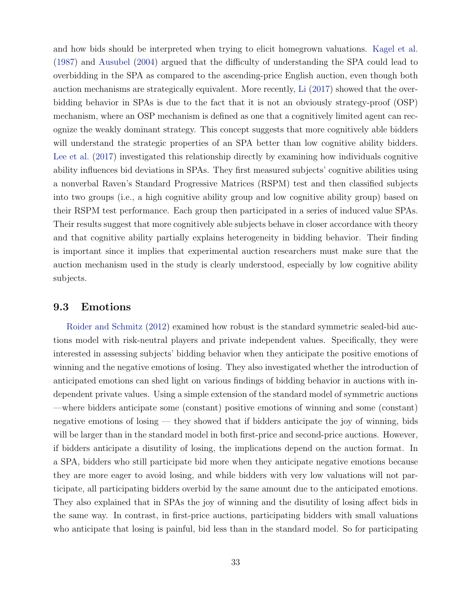and how bids should be interpreted when trying to elicit homegrown valuations. Kagel et al. (1987) and Ausubel (2004) argued that the difficulty of understanding the SPA could lead to overbidding in the SPA as compared to the ascending-price English auction, even though both auction mechanisms are strategically equivalent. More recently, Li (2017) showed that the overbidding behavior in SPAs is due to the fact that it is not an obviously strategy-proof (OSP) mechanism, where an OSP mechanism is defined as one that a cognitively limited agent can recognize the weakly dominant strategy. This concept suggests that more cognitively able bidders will understand the strategic properties of an SPA better than low cognitive ability bidders. Lee et al. (2017) investigated this relationship directly by examining how individuals cognitive ability influences bid deviations in SPAs. They first measured subjects' cognitive abilities using a nonverbal Raven's Standard Progressive Matrices (RSPM) test and then classified subjects into two groups (i.e., a high cognitive ability group and low cognitive ability group) based on their RSPM test performance. Each group then participated in a series of induced value SPAs. Their results suggest that more cognitively able subjects behave in closer accordance with theory and that cognitive ability partially explains heterogeneity in bidding behavior. Their finding is important since it implies that experimental auction researchers must make sure that the auction mechanism used in the study is clearly understood, especially by low cognitive ability subjects.

### 9.3 Emotions

Roider and Schmitz (2012) examined how robust is the standard symmetric sealed-bid auctions model with risk-neutral players and private independent values. Specifically, they were interested in assessing subjects' bidding behavior when they anticipate the positive emotions of winning and the negative emotions of losing. They also investigated whether the introduction of anticipated emotions can shed light on various findings of bidding behavior in auctions with independent private values. Using a simple extension of the standard model of symmetric auctions —where bidders anticipate some (constant) positive emotions of winning and some (constant) negative emotions of losing — they showed that if bidders anticipate the joy of winning, bids will be larger than in the standard model in both first-price and second-price auctions. However, if bidders anticipate a disutility of losing, the implications depend on the auction format. In a SPA, bidders who still participate bid more when they anticipate negative emotions because they are more eager to avoid losing, and while bidders with very low valuations will not participate, all participating bidders overbid by the same amount due to the anticipated emotions. They also explained that in SPAs the joy of winning and the disutility of losing affect bids in the same way. In contrast, in first-price auctions, participating bidders with small valuations who anticipate that losing is painful, bid less than in the standard model. So for participating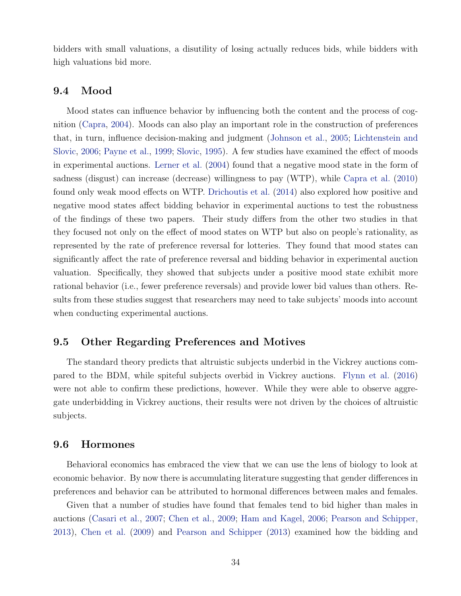bidders with small valuations, a disutility of losing actually reduces bids, while bidders with high valuations bid more.

### 9.4 Mood

Mood states can influence behavior by influencing both the content and the process of cognition (Capra, 2004). Moods can also play an important role in the construction of preferences that, in turn, influence decision-making and judgment (Johnson et al., 2005; Lichtenstein and Slovic, 2006; Payne et al., 1999; Slovic, 1995). A few studies have examined the effect of moods in experimental auctions. Lerner et al. (2004) found that a negative mood state in the form of sadness (disgust) can increase (decrease) willingness to pay (WTP), while Capra et al. (2010) found only weak mood effects on WTP. Drichoutis et al. (2014) also explored how positive and negative mood states affect bidding behavior in experimental auctions to test the robustness of the findings of these two papers. Their study differs from the other two studies in that they focused not only on the effect of mood states on WTP but also on people's rationality, as represented by the rate of preference reversal for lotteries. They found that mood states can significantly affect the rate of preference reversal and bidding behavior in experimental auction valuation. Specifically, they showed that subjects under a positive mood state exhibit more rational behavior (i.e., fewer preference reversals) and provide lower bid values than others. Results from these studies suggest that researchers may need to take subjects' moods into account when conducting experimental auctions.

### 9.5 Other Regarding Preferences and Motives

The standard theory predicts that altruistic subjects underbid in the Vickrey auctions compared to the BDM, while spiteful subjects overbid in Vickrey auctions. Flynn et al. (2016) were not able to confirm these predictions, however. While they were able to observe aggregate underbidding in Vickrey auctions, their results were not driven by the choices of altruistic subjects.

### 9.6 Hormones

Behavioral economics has embraced the view that we can use the lens of biology to look at economic behavior. By now there is accumulating literature suggesting that gender differences in preferences and behavior can be attributed to hormonal differences between males and females.

Given that a number of studies have found that females tend to bid higher than males in auctions (Casari et al., 2007; Chen et al., 2009; Ham and Kagel, 2006; Pearson and Schipper, 2013), Chen et al. (2009) and Pearson and Schipper (2013) examined how the bidding and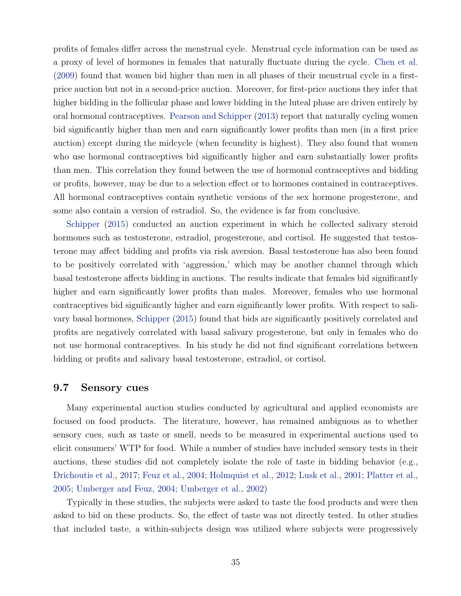profits of females differ across the menstrual cycle. Menstrual cycle information can be used as a proxy of level of hormones in females that naturally fluctuate during the cycle. Chen et al. (2009) found that women bid higher than men in all phases of their menstrual cycle in a firstprice auction but not in a second-price auction. Moreover, for first-price auctions they infer that higher bidding in the follicular phase and lower bidding in the luteal phase are driven entirely by oral hormonal contraceptives. Pearson and Schipper (2013) report that naturally cycling women bid significantly higher than men and earn significantly lower profits than men (in a first price auction) except during the midcycle (when fecundity is highest). They also found that women who use hormonal contraceptives bid significantly higher and earn substantially lower profits than men. This correlation they found between the use of hormonal contraceptives and bidding or profits, however, may be due to a selection effect or to hormones contained in contraceptives. All hormonal contraceptives contain synthetic versions of the sex hormone progesterone, and some also contain a version of estradiol. So, the evidence is far from conclusive.

Schipper (2015) conducted an auction experiment in which he collected salivary steroid hormones such as testosterone, estradiol, progesterone, and cortisol. He suggested that testosterone may affect bidding and profits via risk aversion. Basal testosterone has also been found to be positively correlated with 'aggression,' which may be another channel through which basal testosterone affects bidding in auctions. The results indicate that females bid significantly higher and earn significantly lower profits than males. Moreover, females who use hormonal contraceptives bid significantly higher and earn significantly lower profits. With respect to salivary basal hormones, Schipper (2015) found that bids are significantly positively correlated and profits are negatively correlated with basal salivary progesterone, but only in females who do not use hormonal contraceptives. In his study he did not find significant correlations between bidding or profits and salivary basal testosterone, estradiol, or cortisol.

#### 9.7 Sensory cues

Many experimental auction studies conducted by agricultural and applied economists are focused on food products. The literature, however, has remained ambiguous as to whether sensory cues, such as taste or smell, needs to be measured in experimental auctions used to elicit consumers' WTP for food. While a number of studies have included sensory tests in their auctions, these studies did not completely isolate the role of taste in bidding behavior (e.g., Drichoutis et al., 2017; Feuz et al., 2004; Holmquist et al., 2012; Lusk et al., 2001; Platter et al., 2005; Umberger and Feuz, 2004; Umberger et al., 2002)

Typically in these studies, the subjects were asked to taste the food products and were then asked to bid on these products. So, the effect of taste was not directly tested. In other studies that included taste, a within-subjects design was utilized where subjects were progressively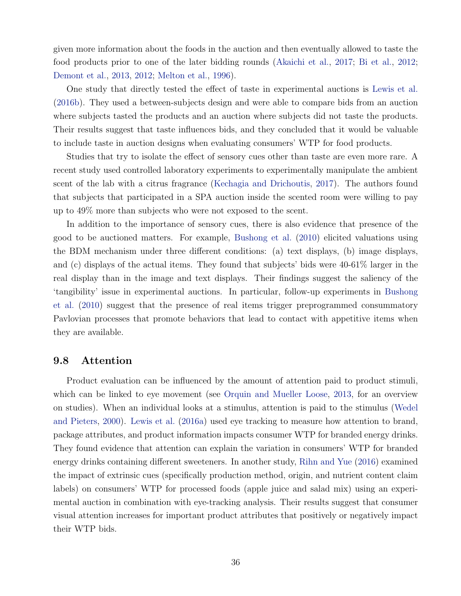given more information about the foods in the auction and then eventually allowed to taste the food products prior to one of the later bidding rounds (Akaichi et al., 2017; Bi et al., 2012; Demont et al., 2013, 2012; Melton et al., 1996).

One study that directly tested the effect of taste in experimental auctions is Lewis et al. (2016b). They used a between-subjects design and were able to compare bids from an auction where subjects tasted the products and an auction where subjects did not taste the products. Their results suggest that taste influences bids, and they concluded that it would be valuable to include taste in auction designs when evaluating consumers' WTP for food products.

Studies that try to isolate the effect of sensory cues other than taste are even more rare. A recent study used controlled laboratory experiments to experimentally manipulate the ambient scent of the lab with a citrus fragrance (Kechagia and Drichoutis, 2017). The authors found that subjects that participated in a SPA auction inside the scented room were willing to pay up to 49% more than subjects who were not exposed to the scent.

In addition to the importance of sensory cues, there is also evidence that presence of the good to be auctioned matters. For example, Bushong et al. (2010) elicited valuations using the BDM mechanism under three different conditions: (a) text displays, (b) image displays, and (c) displays of the actual items. They found that subjects' bids were 40-61% larger in the real display than in the image and text displays. Their findings suggest the saliency of the 'tangibility' issue in experimental auctions. In particular, follow-up experiments in Bushong et al. (2010) suggest that the presence of real items trigger preprogrammed consummatory Pavlovian processes that promote behaviors that lead to contact with appetitive items when they are available.

#### 9.8 Attention

Product evaluation can be influenced by the amount of attention paid to product stimuli, which can be linked to eye movement (see Orquin and Mueller Loose, 2013, for an overview on studies). When an individual looks at a stimulus, attention is paid to the stimulus (Wedel and Pieters, 2000). Lewis et al. (2016a) used eye tracking to measure how attention to brand, package attributes, and product information impacts consumer WTP for branded energy drinks. They found evidence that attention can explain the variation in consumers' WTP for branded energy drinks containing different sweeteners. In another study, Rihn and Yue (2016) examined the impact of extrinsic cues (specifically production method, origin, and nutrient content claim labels) on consumers' WTP for processed foods (apple juice and salad mix) using an experimental auction in combination with eye-tracking analysis. Their results suggest that consumer visual attention increases for important product attributes that positively or negatively impact their WTP bids.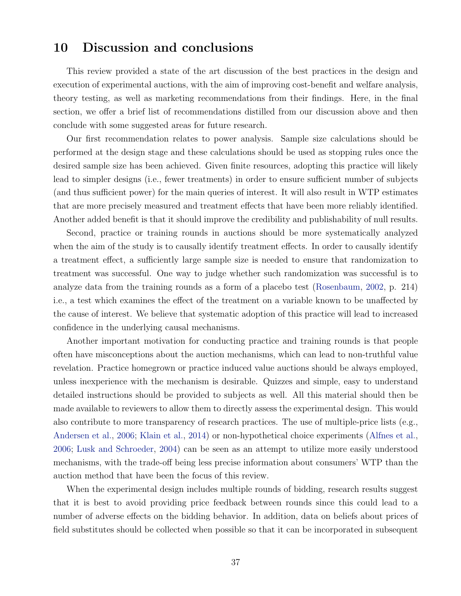# 10 Discussion and conclusions

This review provided a state of the art discussion of the best practices in the design and execution of experimental auctions, with the aim of improving cost-benefit and welfare analysis, theory testing, as well as marketing recommendations from their findings. Here, in the final section, we offer a brief list of recommendations distilled from our discussion above and then conclude with some suggested areas for future research.

Our first recommendation relates to power analysis. Sample size calculations should be performed at the design stage and these calculations should be used as stopping rules once the desired sample size has been achieved. Given finite resources, adopting this practice will likely lead to simpler designs (i.e., fewer treatments) in order to ensure sufficient number of subjects (and thus sufficient power) for the main queries of interest. It will also result in WTP estimates that are more precisely measured and treatment effects that have been more reliably identified. Another added benefit is that it should improve the credibility and publishability of null results.

Second, practice or training rounds in auctions should be more systematically analyzed when the aim of the study is to causally identify treatment effects. In order to causally identify a treatment effect, a sufficiently large sample size is needed to ensure that randomization to treatment was successful. One way to judge whether such randomization was successful is to analyze data from the training rounds as a form of a placebo test (Rosenbaum, 2002, p. 214) i.e., a test which examines the effect of the treatment on a variable known to be unaffected by the cause of interest. We believe that systematic adoption of this practice will lead to increased confidence in the underlying causal mechanisms.

Another important motivation for conducting practice and training rounds is that people often have misconceptions about the auction mechanisms, which can lead to non-truthful value revelation. Practice homegrown or practice induced value auctions should be always employed, unless inexperience with the mechanism is desirable. Quizzes and simple, easy to understand detailed instructions should be provided to subjects as well. All this material should then be made available to reviewers to allow them to directly assess the experimental design. This would also contribute to more transparency of research practices. The use of multiple-price lists (e.g., Andersen et al., 2006; Klain et al., 2014) or non-hypothetical choice experiments (Alfnes et al., 2006; Lusk and Schroeder, 2004) can be seen as an attempt to utilize more easily understood mechanisms, with the trade-off being less precise information about consumers' WTP than the auction method that have been the focus of this review.

When the experimental design includes multiple rounds of bidding, research results suggest that it is best to avoid providing price feedback between rounds since this could lead to a number of adverse effects on the bidding behavior. In addition, data on beliefs about prices of field substitutes should be collected when possible so that it can be incorporated in subsequent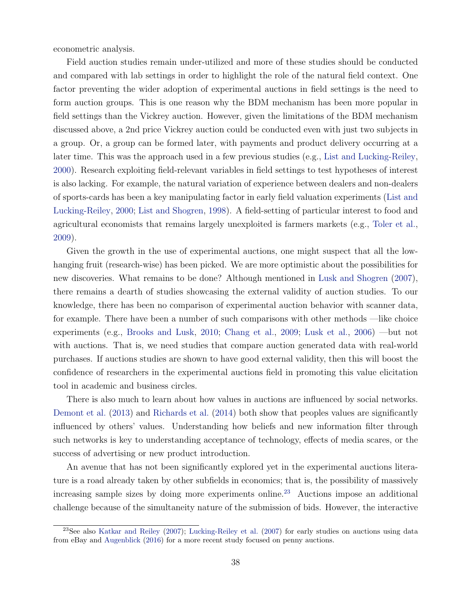econometric analysis.

Field auction studies remain under-utilized and more of these studies should be conducted and compared with lab settings in order to highlight the role of the natural field context. One factor preventing the wider adoption of experimental auctions in field settings is the need to form auction groups. This is one reason why the BDM mechanism has been more popular in field settings than the Vickrey auction. However, given the limitations of the BDM mechanism discussed above, a 2nd price Vickrey auction could be conducted even with just two subjects in a group. Or, a group can be formed later, with payments and product delivery occurring at a later time. This was the approach used in a few previous studies (e.g., List and Lucking-Reiley, 2000). Research exploiting field-relevant variables in field settings to test hypotheses of interest is also lacking. For example, the natural variation of experience between dealers and non-dealers of sports-cards has been a key manipulating factor in early field valuation experiments (List and Lucking-Reiley, 2000; List and Shogren, 1998). A field-setting of particular interest to food and agricultural economists that remains largely unexploited is farmers markets (e.g., Toler et al., 2009).

Given the growth in the use of experimental auctions, one might suspect that all the lowhanging fruit (research-wise) has been picked. We are more optimistic about the possibilities for new discoveries. What remains to be done? Although mentioned in Lusk and Shogren (2007), there remains a dearth of studies showcasing the external validity of auction studies. To our knowledge, there has been no comparison of experimental auction behavior with scanner data, for example. There have been a number of such comparisons with other methods —like choice experiments (e.g., Brooks and Lusk, 2010; Chang et al., 2009; Lusk et al., 2006) —but not with auctions. That is, we need studies that compare auction generated data with real-world purchases. If auctions studies are shown to have good external validity, then this will boost the confidence of researchers in the experimental auctions field in promoting this value elicitation tool in academic and business circles.

There is also much to learn about how values in auctions are influenced by social networks. Demont et al. (2013) and Richards et al. (2014) both show that peoples values are significantly influenced by others' values. Understanding how beliefs and new information filter through such networks is key to understanding acceptance of technology, effects of media scares, or the success of advertising or new product introduction.

An avenue that has not been significantly explored yet in the experimental auctions literature is a road already taken by other subfields in economics; that is, the possibility of massively increasing sample sizes by doing more experiments online.<sup>23</sup> Auctions impose an additional challenge because of the simultaneity nature of the submission of bids. However, the interactive

<sup>23</sup>See also Katkar and Reiley (2007); Lucking-Reiley et al. (2007) for early studies on auctions using data from eBay and Augenblick (2016) for a more recent study focused on penny auctions.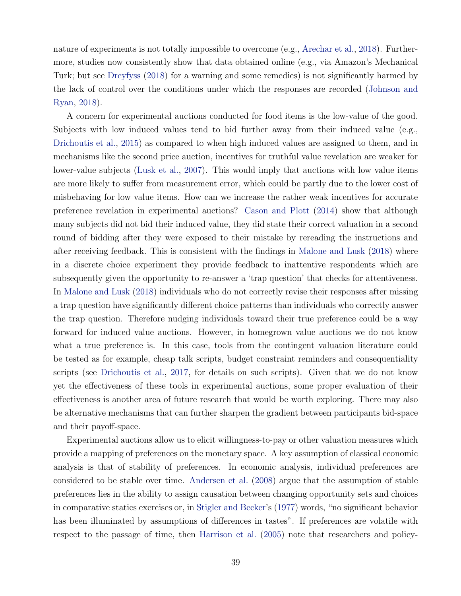nature of experiments is not totally impossible to overcome (e.g., Arechar et al., 2018). Furthermore, studies now consistently show that data obtained online (e.g., via Amazon's Mechanical Turk; but see Dreyfyss (2018) for a warning and some remedies) is not significantly harmed by the lack of control over the conditions under which the responses are recorded (Johnson and Ryan, 2018).

A concern for experimental auctions conducted for food items is the low-value of the good. Subjects with low induced values tend to bid further away from their induced value (e.g., Drichoutis et al., 2015) as compared to when high induced values are assigned to them, and in mechanisms like the second price auction, incentives for truthful value revelation are weaker for lower-value subjects (Lusk et al., 2007). This would imply that auctions with low value items are more likely to suffer from measurement error, which could be partly due to the lower cost of misbehaving for low value items. How can we increase the rather weak incentives for accurate preference revelation in experimental auctions? Cason and Plott (2014) show that although many subjects did not bid their induced value, they did state their correct valuation in a second round of bidding after they were exposed to their mistake by rereading the instructions and after receiving feedback. This is consistent with the findings in Malone and Lusk (2018) where in a discrete choice experiment they provide feedback to inattentive respondents which are subsequently given the opportunity to re-answer a 'trap question' that checks for attentiveness. In Malone and Lusk (2018) individuals who do not correctly revise their responses after missing a trap question have significantly different choice patterns than individuals who correctly answer the trap question. Therefore nudging individuals toward their true preference could be a way forward for induced value auctions. However, in homegrown value auctions we do not know what a true preference is. In this case, tools from the contingent valuation literature could be tested as for example, cheap talk scripts, budget constraint reminders and consequentiality scripts (see Drichoutis et al., 2017, for details on such scripts). Given that we do not know yet the effectiveness of these tools in experimental auctions, some proper evaluation of their effectiveness is another area of future research that would be worth exploring. There may also be alternative mechanisms that can further sharpen the gradient between participants bid-space and their payoff-space.

Experimental auctions allow us to elicit willingness-to-pay or other valuation measures which provide a mapping of preferences on the monetary space. A key assumption of classical economic analysis is that of stability of preferences. In economic analysis, individual preferences are considered to be stable over time. Andersen et al. (2008) argue that the assumption of stable preferences lies in the ability to assign causation between changing opportunity sets and choices in comparative statics exercises or, in Stigler and Becker's (1977) words, "no significant behavior has been illuminated by assumptions of differences in tastes". If preferences are volatile with respect to the passage of time, then Harrison et al. (2005) note that researchers and policy-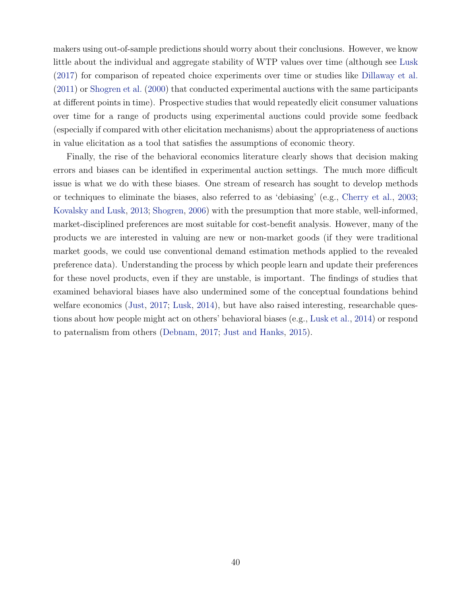makers using out-of-sample predictions should worry about their conclusions. However, we know little about the individual and aggregate stability of WTP values over time (although see Lusk (2017) for comparison of repeated choice experiments over time or studies like Dillaway et al. (2011) or Shogren et al. (2000) that conducted experimental auctions with the same participants at different points in time). Prospective studies that would repeatedly elicit consumer valuations over time for a range of products using experimental auctions could provide some feedback (especially if compared with other elicitation mechanisms) about the appropriateness of auctions in value elicitation as a tool that satisfies the assumptions of economic theory.

Finally, the rise of the behavioral economics literature clearly shows that decision making errors and biases can be identified in experimental auction settings. The much more difficult issue is what we do with these biases. One stream of research has sought to develop methods or techniques to eliminate the biases, also referred to as 'debiasing' (e.g., Cherry et al., 2003; Kovalsky and Lusk, 2013; Shogren, 2006) with the presumption that more stable, well-informed, market-disciplined preferences are most suitable for cost-benefit analysis. However, many of the products we are interested in valuing are new or non-market goods (if they were traditional market goods, we could use conventional demand estimation methods applied to the revealed preference data). Understanding the process by which people learn and update their preferences for these novel products, even if they are unstable, is important. The findings of studies that examined behavioral biases have also undermined some of the conceptual foundations behind welfare economics (Just, 2017; Lusk, 2014), but have also raised interesting, researchable questions about how people might act on others' behavioral biases (e.g., Lusk et al., 2014) or respond to paternalism from others (Debnam, 2017; Just and Hanks, 2015).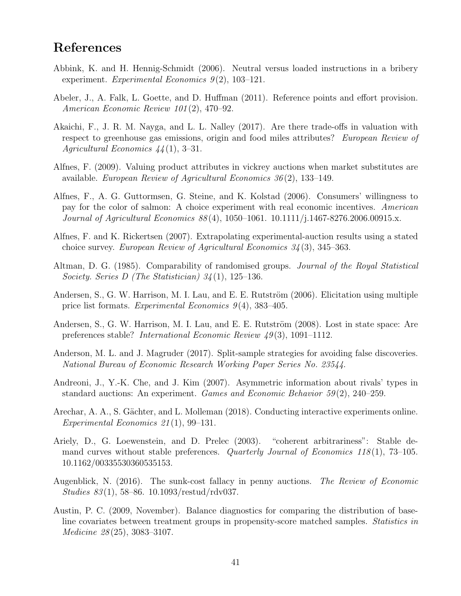# References

- Abbink, K. and H. Hennig-Schmidt (2006). Neutral versus loaded instructions in a bribery experiment. Experimental Economics  $9(2)$ , 103-121.
- Abeler, J., A. Falk, L. Goette, and D. Huffman (2011). Reference points and effort provision. American Economic Review 101 (2), 470–92.
- Akaichi, F., J. R. M. Nayga, and L. L. Nalley (2017). Are there trade-offs in valuation with respect to greenhouse gas emissions, origin and food miles attributes? European Review of Agricultural Economics  $44(1)$ , 3-31.
- Alfnes, F. (2009). Valuing product attributes in vickrey auctions when market substitutes are available. European Review of Agricultural Economics 36 (2), 133–149.
- Alfnes, F., A. G. Guttormsen, G. Steine, and K. Kolstad (2006). Consumers' willingness to pay for the color of salmon: A choice experiment with real economic incentives. American Journal of Agricultural Economics 88 (4), 1050–1061. 10.1111/j.1467-8276.2006.00915.x.
- Alfnes, F. and K. Rickertsen (2007). Extrapolating experimental-auction results using a stated choice survey. European Review of Agricultural Economics 34 (3), 345–363.
- Altman, D. G. (1985). Comparability of randomised groups. Journal of the Royal Statistical Society. Series D (The Statistician) 34 (1), 125–136.
- Andersen, S., G. W. Harrison, M. I. Lau, and E. E. Rutström (2006). Elicitation using multiple price list formats. Experimental Economics  $9(4)$ , 383-405.
- Andersen, S., G. W. Harrison, M. I. Lau, and E. E. Rutström (2008). Lost in state space: Are preferences stable? International Economic Review  $49(3)$ , 1091–1112.
- Anderson, M. L. and J. Magruder (2017). Split-sample strategies for avoiding false discoveries. National Bureau of Economic Research Working Paper Series No. 23544.
- Andreoni, J., Y.-K. Che, and J. Kim (2007). Asymmetric information about rivals' types in standard auctions: An experiment. Games and Economic Behavior  $59(2)$ , 240–259.
- Arechar, A. A., S. Gächter, and L. Molleman (2018). Conducting interactive experiments online. Experimental Economics 21 (1), 99–131.
- Ariely, D., G. Loewenstein, and D. Prelec (2003). "coherent arbitrariness": Stable demand curves without stable preferences. Quarterly Journal of Economics 118(1), 73–105. 10.1162/00335530360535153.
- Augenblick, N. (2016). The sunk-cost fallacy in penny auctions. The Review of Economic  $Studies 83(1), 58–86. 10.1093/restud/rdv037.$
- Austin, P. C. (2009, November). Balance diagnostics for comparing the distribution of baseline covariates between treatment groups in propensity-score matched samples. Statistics in Medicine 28 (25), 3083–3107.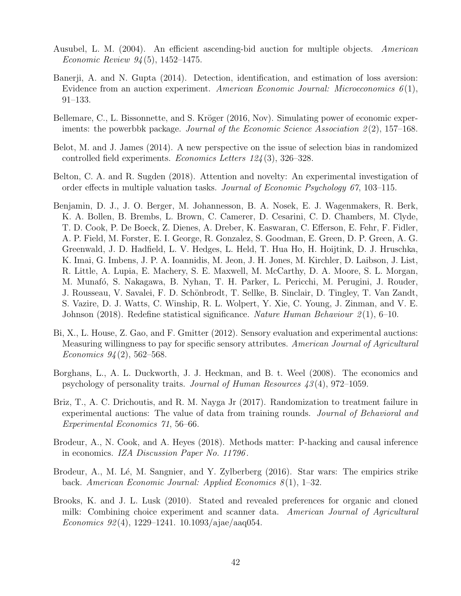- Ausubel, L. M. (2004). An efficient ascending-bid auction for multiple objects. American Economic Review 94 (5), 1452–1475.
- Banerji, A. and N. Gupta (2014). Detection, identification, and estimation of loss aversion: Evidence from an auction experiment. American Economic Journal: Microeconomics  $6(1)$ , 91–133.
- Bellemare, C., L. Bissonnette, and S. Kröger (2016, Nov). Simulating power of economic experiments: the powerbbk package. Journal of the Economic Science Association  $2(2)$ , 157–168.
- Belot, M. and J. James (2014). A new perspective on the issue of selection bias in randomized controlled field experiments. Economics Letters 124 (3), 326–328.
- Belton, C. A. and R. Sugden (2018). Attention and novelty: An experimental investigation of order effects in multiple valuation tasks. Journal of Economic Psychology 67, 103–115.
- Benjamin, D. J., J. O. Berger, M. Johannesson, B. A. Nosek, E. J. Wagenmakers, R. Berk, K. A. Bollen, B. Brembs, L. Brown, C. Camerer, D. Cesarini, C. D. Chambers, M. Clyde, T. D. Cook, P. De Boeck, Z. Dienes, A. Dreber, K. Easwaran, C. Efferson, E. Fehr, F. Fidler, A. P. Field, M. Forster, E. I. George, R. Gonzalez, S. Goodman, E. Green, D. P. Green, A. G. Greenwald, J. D. Hadfield, L. V. Hedges, L. Held, T. Hua Ho, H. Hoijtink, D. J. Hruschka, K. Imai, G. Imbens, J. P. A. Ioannidis, M. Jeon, J. H. Jones, M. Kirchler, D. Laibson, J. List, R. Little, A. Lupia, E. Machery, S. E. Maxwell, M. McCarthy, D. A. Moore, S. L. Morgan, M. Munafó, S. Nakagawa, B. Nyhan, T. H. Parker, L. Pericchi, M. Perugini, J. Rouder, J. Rousseau, V. Savalei, F. D. Schönbrodt, T. Sellke, B. Sinclair, D. Tingley, T. Van Zandt, S. Vazire, D. J. Watts, C. Winship, R. L. Wolpert, Y. Xie, C. Young, J. Zinman, and V. E. Johnson (2018). Redefine statistical significance. Nature Human Behaviour  $2(1)$ , 6–10.
- Bi, X., L. House, Z. Gao, and F. Gmitter (2012). Sensory evaluation and experimental auctions: Measuring willingness to pay for specific sensory attributes. American Journal of Agricultural Economics  $94(2)$ , 562–568.
- Borghans, L., A. L. Duckworth, J. J. Heckman, and B. t. Weel (2008). The economics and psychology of personality traits. Journal of Human Resources 43 (4), 972–1059.
- Briz, T., A. C. Drichoutis, and R. M. Nayga Jr (2017). Randomization to treatment failure in experimental auctions: The value of data from training rounds. Journal of Behavioral and Experimental Economics 71, 56–66.
- Brodeur, A., N. Cook, and A. Heyes (2018). Methods matter: P-hacking and causal inference in economics. IZA Discussion Paper No. 11796 .
- Brodeur, A., M. Lé, M. Sangnier, and Y. Zylberberg (2016). Star wars: The empirics strike back. American Economic Journal: Applied Economics  $8(1)$ , 1–32.
- Brooks, K. and J. L. Lusk (2010). Stated and revealed preferences for organic and cloned milk: Combining choice experiment and scanner data. American Journal of Agricultural Economics 92(4), 1229–1241. 10.1093/ajae/aaq054.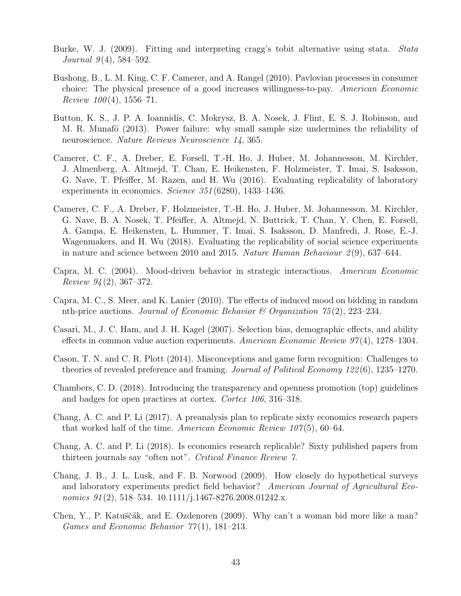- Burke, W. J. (2009). Fitting and interpreting cragg's tobit alternative using stata. Stata Journal  $9(4)$ , 584–592.
- Bushong, B., L. M. King, C. F. Camerer, and A. Rangel (2010). Pavlovian processes in consumer choice: The physical presence of a good increases willingness-to-pay. American Economic Review  $100(4)$ , 1556–71.
- Button, K. S., J. P. A. Ioannidis, C. Mokrysz, B. A. Nosek, J. Flint, E. S. J. Robinson, and M. R. Munafö (2013). Power failure: why small sample size undermines the reliability of neuroscience. Nature Reviews Neuroscience 14, 365.
- Camerer, C. F., A. Dreber, E. Forsell, T.-H. Ho, J. Huber, M. Johannesson, M. Kirchler, J. Almenberg, A. Altmejd, T. Chan, E. Heikensten, F. Holzmeister, T. Imai, S. Isaksson, G. Nave, T. Pfeiffer, M. Razen, and H. Wu (2016). Evaluating replicability of laboratory experiments in economics. Science 351 (6280), 1433–1436.
- Camerer, C. F., A. Dreber, F. Holzmeister, T.-H. Ho, J. Huber, M. Johannesson, M. Kirchler, G. Nave, B. A. Nosek, T. Pfeiffer, A. Altmejd, N. Buttrick, T. Chan, Y. Chen, E. Forsell, A. Gampa, E. Heikensten, L. Hummer, T. Imai, S. Isaksson, D. Manfredi, J. Rose, E.-J. Wagenmakers, and H. Wu (2018). Evaluating the replicability of social science experiments in nature and science between 2010 and 2015. Nature Human Behaviour  $2(9)$ , 637–644.
- Capra, M. C. (2004). Mood-driven behavior in strategic interactions. American Economic Review  $94(2)$ , 367–372.
- Capra, M. C., S. Meer, and K. Lanier (2010). The effects of induced mood on bidding in random nth-price auctions. Journal of Economic Behavior  $\mathcal{C}$  Organization 75(2), 223–234.
- Casari, M., J. C. Ham, and J. H. Kagel (2007). Selection bias, demographic effects, and ability effects in common value auction experiments. American Economic Review  $97(4)$ , 1278–1304.
- Cason, T. N. and C. R. Plott (2014). Misconceptions and game form recognition: Challenges to theories of revealed preference and framing. Journal of Political Economy 122 (6), 1235–1270.
- Chambers, C. D. (2018). Introducing the transparency and openness promotion (top) guidelines and badges for open practices at cortex. Cortex 106, 316–318.
- Chang, A. C. and P. Li (2017). A preanalysis plan to replicate sixty economics research papers that worked half of the time. American Economic Review  $107(5)$ , 60–64.
- Chang, A. C. and P. Li (2018). Is economics research replicable? Sixty published papers from thirteen journals say "often not". Critical Finance Review 7.
- Chang, J. B., J. L. Lusk, and F. B. Norwood (2009). How closely do hypothetical surveys and laboratory experiments predict field behavior? American Journal of Agricultural Economics  $91(2)$ , 518–534. 10.1111/j.1467-8276.2008.01242.x.
- Chen, Y., P. Katuščák, and E. Ozdenoren (2009). Why can't a woman bid more like a man? Games and Economic Behavior  $77(1)$ , 181–213.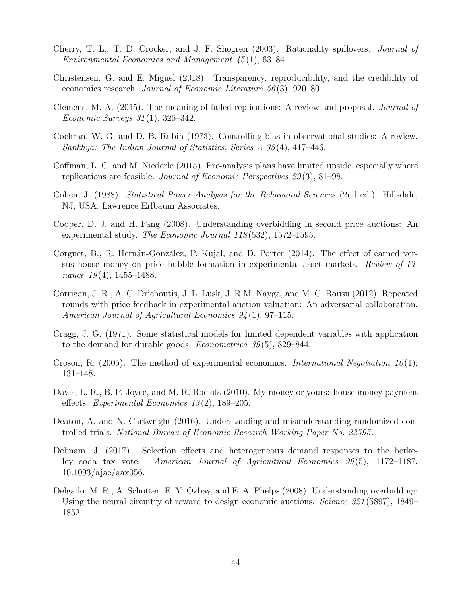- Cherry, T. L., T. D. Crocker, and J. F. Shogren (2003). Rationality spillovers. Journal of Environmental Economics and Management 45 (1), 63–84.
- Christensen, G. and E. Miguel (2018). Transparency, reproducibility, and the credibility of economics research. Journal of Economic Literature 56 (3), 920–80.
- Clemens, M. A. (2015). The meaning of failed replications: A review and proposal. Journal of Economic Surveys  $31(1)$ ,  $326-342$ .
- Cochran, W. G. and D. B. Rubin (1973). Controlling bias in observational studies: A review. Sankhyā: The Indian Journal of Statistics, Series  $A$  35(4), 417–446.
- Coffman, L. C. and M. Niederle (2015). Pre-analysis plans have limited upside, especially where replications are feasible. Journal of Economic Perspectives 29 (3), 81–98.
- Cohen, J. (1988). Statistical Power Analysis for the Behavioral Sciences (2nd ed.). Hillsdale, NJ, USA: Lawrence Erlbaum Associates.
- Cooper, D. J. and H. Fang (2008). Understanding overbidding in second price auctions: An experimental study. The Economic Journal 118 (532), 1572–1595.
- Corgnet, B., R. Hernán-González, P. Kujal, and D. Porter (2014). The effect of earned versus house money on price bubble formation in experimental asset markets. Review of Finance  $19(4)$ , 1455–1488.
- Corrigan, J. R., A. C. Drichoutis, J. L. Lusk, J. R.M. Nayga, and M. C. Rousu (2012). Repeated rounds with price feedback in experimental auction valuation: An adversarial collaboration. American Journal of Agricultural Economics  $94(1)$ , 97-115.
- Cragg, J. G. (1971). Some statistical models for limited dependent variables with application to the demand for durable goods. Econometrica 39 (5), 829–844.
- Croson, R. (2005). The method of experimental economics. *International Negotiation 10*(1), 131–148.
- Davis, L. R., B. P. Joyce, and M. R. Roelofs (2010). My money or yours: house money payment effects. Experimental Economics 13 (2), 189–205.
- Deaton, A. and N. Cartwright (2016). Understanding and misunderstanding randomized controlled trials. National Bureau of Economic Research Working Paper No. 22595 .
- Debnam, J. (2017). Selection effects and heterogeneous demand responses to the berkeley soda tax vote. American Journal of Agricultural Economics  $99(5)$ , 1172–1187. 10.1093/ajae/aax056.
- Delgado, M. R., A. Schotter, E. Y. Ozbay, and E. A. Phelps (2008). Understanding overbidding: Using the neural circuitry of reward to design economic auctions. *Science 321* (5897), 1849– 1852.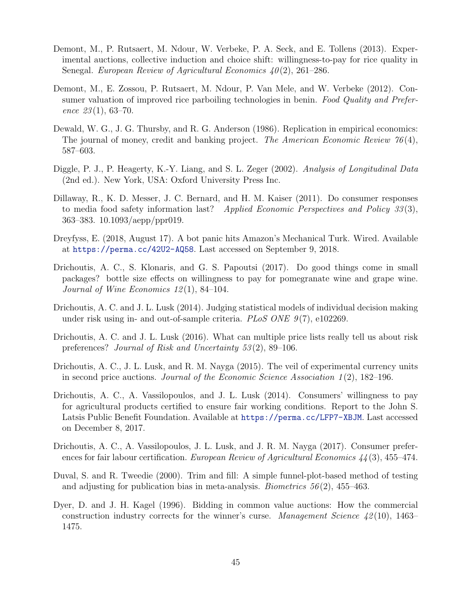- Demont, M., P. Rutsaert, M. Ndour, W. Verbeke, P. A. Seck, and E. Tollens (2013). Experimental auctions, collective induction and choice shift: willingness-to-pay for rice quality in Senegal. European Review of Agricultural Economics  $40(2)$ , 261–286.
- Demont, M., E. Zossou, P. Rutsaert, M. Ndour, P. Van Mele, and W. Verbeke (2012). Consumer valuation of improved rice parboiling technologies in benin. Food Quality and Preference  $23(1)$ , 63-70.
- Dewald, W. G., J. G. Thursby, and R. G. Anderson (1986). Replication in empirical economics: The journal of money, credit and banking project. The American Economic Review  $76(4)$ , 587–603.
- Diggle, P. J., P. Heagerty, K.-Y. Liang, and S. L. Zeger (2002). Analysis of Longitudinal Data (2nd ed.). New York, USA: Oxford University Press Inc.
- Dillaway, R., K. D. Messer, J. C. Bernard, and H. M. Kaiser (2011). Do consumer responses to media food safety information last? Applied Economic Perspectives and Policy 33 (3), 363–383. 10.1093/aepp/ppr019.
- Dreyfyss, E. (2018, August 17). A bot panic hits Amazon's Mechanical Turk. Wired. Available at https://perma.cc/42U2-AQ58. Last accessed on September 9, 2018.
- Drichoutis, A. C., S. Klonaris, and G. S. Papoutsi (2017). Do good things come in small packages? bottle size effects on willingness to pay for pomegranate wine and grape wine. Journal of Wine Economics 12 (1), 84–104.
- Drichoutis, A. C. and J. L. Lusk (2014). Judging statistical models of individual decision making under risk using in- and out-of-sample criteria.  $PLoS$  ONE  $9(7)$ , e102269.
- Drichoutis, A. C. and J. L. Lusk (2016). What can multiple price lists really tell us about risk preferences? Journal of Risk and Uncertainty 53 (2), 89–106.
- Drichoutis, A. C., J. L. Lusk, and R. M. Nayga (2015). The veil of experimental currency units in second price auctions. Journal of the Economic Science Association  $1(2)$ , 182–196.
- Drichoutis, A. C., A. Vassilopoulos, and J. L. Lusk (2014). Consumers' willingness to pay for agricultural products certified to ensure fair working conditions. Report to the John S. Latsis Public Benefit Foundation. Available at https://perma.cc/LFP7-XBJM. Last accessed on December 8, 2017.
- Drichoutis, A. C., A. Vassilopoulos, J. L. Lusk, and J. R. M. Nayga (2017). Consumer preferences for fair labour certification. European Review of Agricultural Economics 44(3), 455–474.
- Duval, S. and R. Tweedie (2000). Trim and fill: A simple funnel-plot-based method of testing and adjusting for publication bias in meta-analysis. *Biometrics*  $56(2)$ ,  $455-463$ .
- Dyer, D. and J. H. Kagel (1996). Bidding in common value auctions: How the commercial construction industry corrects for the winner's curse. Management Science  $42(10)$ , 1463– 1475.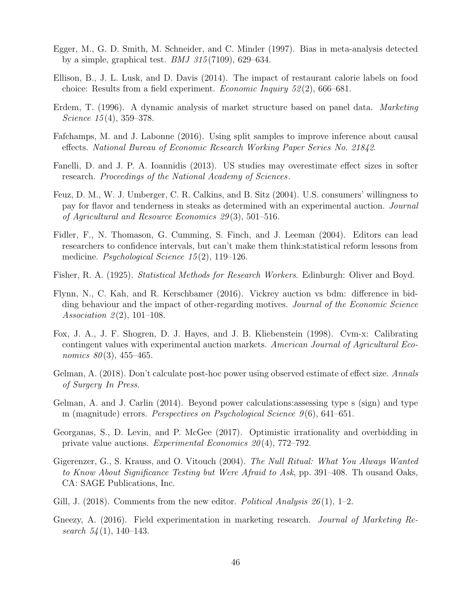- Egger, M., G. D. Smith, M. Schneider, and C. Minder (1997). Bias in meta-analysis detected by a simple, graphical test. *BMJ*  $315(7109)$ , 629–634.
- Ellison, B., J. L. Lusk, and D. Davis (2014). The impact of restaurant calorie labels on food choice: Results from a field experiment. Economic Inquiry 52 (2), 666–681.
- Erdem, T. (1996). A dynamic analysis of market structure based on panel data. *Marketing* Science  $15(4)$ , 359-378.
- Fafchamps, M. and J. Labonne (2016). Using split samples to improve inference about causal effects. National Bureau of Economic Research Working Paper Series No. 21842.
- Fanelli, D. and J. P. A. Ioannidis (2013). US studies may overestimate effect sizes in softer research. Proceedings of the National Academy of Sciences.
- Feuz, D. M., W. J. Umberger, C. R. Calkins, and B. Sitz (2004). U.S. consumers' willingness to pay for flavor and tenderness in steaks as determined with an experimental auction. Journal of Agricultural and Resource Economics 29 (3), 501–516.
- Fidler, F., N. Thomason, G. Cumming, S. Finch, and J. Leeman (2004). Editors can lead researchers to confidence intervals, but can't make them think:statistical reform lessons from medicine. Psychological Science 15 (2), 119–126.
- Fisher, R. A. (1925). Statistical Methods for Research Workers. Edinburgh: Oliver and Boyd.
- Flynn, N., C. Kah, and R. Kerschbamer (2016). Vickrey auction vs bdm: difference in bidding behaviour and the impact of other-regarding motives. Journal of the Economic Science Association 2(2), 101–108.
- Fox, J. A., J. F. Shogren, D. J. Hayes, and J. B. Kliebenstein (1998). Cvm-x: Calibrating contingent values with experimental auction markets. American Journal of Agricultural Economics  $80(3)$ , 455-465.
- Gelman, A. (2018). Don't calculate post-hoc power using observed estimate of effect size. Annals of Surgery In Press.
- Gelman, A. and J. Carlin (2014). Beyond power calculations:assessing type s (sign) and type m (magnitude) errors. *Perspectives on Psychological Science*  $9(6)$ , 641–651.
- Georganas, S., D. Levin, and P. McGee (2017). Optimistic irrationality and overbidding in private value auctions. Experimental Economics  $20(4)$ , 772–792.
- Gigerenzer, G., S. Krauss, and O. Vitouch (2004). The Null Ritual: What You Always Wanted to Know About Significance Testing but Were Afraid to Ask, pp. 391–408. Th ousand Oaks, CA: SAGE Publications, Inc.
- Gill, J. (2018). Comments from the new editor. Political Analysis  $26(1)$ , 1–2.
- Gneezy, A. (2016). Field experimentation in marketing research. Journal of Marketing Research  $54(1)$ , 140-143.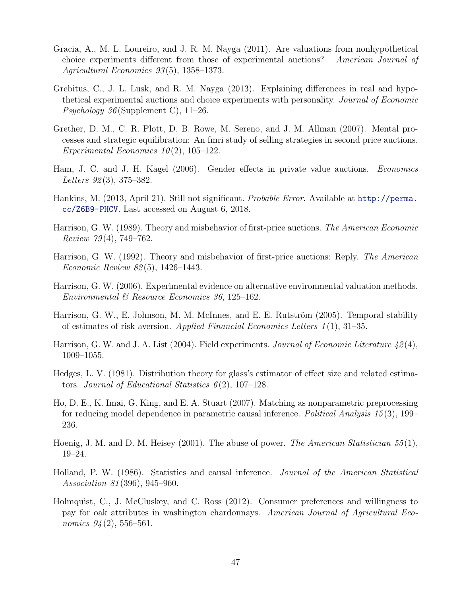- Gracia, A., M. L. Loureiro, and J. R. M. Nayga (2011). Are valuations from nonhypothetical choice experiments different from those of experimental auctions? American Journal of Agricultural Economics  $93(5)$ , 1358-1373.
- Grebitus, C., J. L. Lusk, and R. M. Nayga (2013). Explaining differences in real and hypothetical experimental auctions and choice experiments with personality. Journal of Economic *Psychology*  $36$  (Supplement C), 11–26.
- Grether, D. M., C. R. Plott, D. B. Rowe, M. Sereno, and J. M. Allman (2007). Mental processes and strategic equilibration: An fmri study of selling strategies in second price auctions. Experimental Economics  $10(2)$ , 105-122.
- Ham, J. C. and J. H. Kagel (2006). Gender effects in private value auctions. *Economics* Letters  $92(3)$ , 375–382.
- Hankins, M. (2013, April 21). Still not significant. Probable Error. Available at http://perma. cc/Z6B9-PHCV. Last accessed on August 6, 2018.
- Harrison, G. W. (1989). Theory and misbehavior of first-price auctions. The American Economic Review  $79(4)$ , 749–762.
- Harrison, G. W. (1992). Theory and misbehavior of first-price auctions: Reply. The American Economic Review 82 (5), 1426–1443.
- Harrison, G. W. (2006). Experimental evidence on alternative environmental valuation methods. Environmental & Resource Economics 36, 125–162.
- Harrison, G. W., E. Johnson, M. M. McInnes, and E. E. Rutström (2005). Temporal stability of estimates of risk aversion. Applied Financial Economics Letters  $1(1)$ , 31–35.
- Harrison, G. W. and J. A. List (2004). Field experiments. Journal of Economic Literature  $\mathcal{L}(2(4),$ 1009–1055.
- Hedges, L. V. (1981). Distribution theory for glass's estimator of effect size and related estimators. Journal of Educational Statistics  $6(2)$ , 107–128.
- Ho, D. E., K. Imai, G. King, and E. A. Stuart (2007). Matching as nonparametric preprocessing for reducing model dependence in parametric causal inference. Political Analysis 15 (3), 199– 236.
- Hoenig, J. M. and D. M. Heisey (2001). The abuse of power. The American Statistician 55(1), 19–24.
- Holland, P. W. (1986). Statistics and causal inference. Journal of the American Statistical Association 81 (396), 945–960.
- Holmquist, C., J. McCluskey, and C. Ross (2012). Consumer preferences and willingness to pay for oak attributes in washington chardonnays. American Journal of Agricultural Economics  $94(2)$ , 556–561.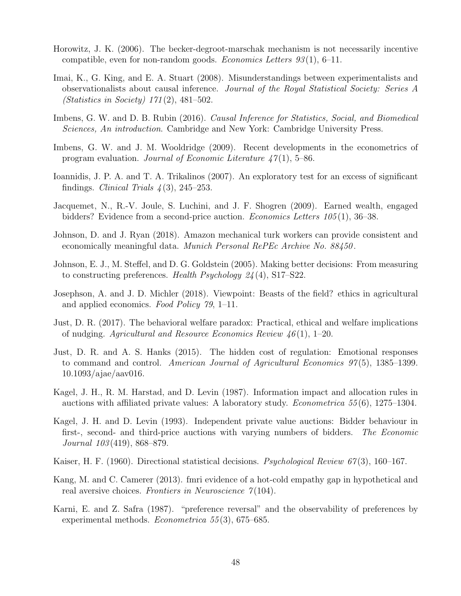- Horowitz, J. K. (2006). The becker-degroot-marschak mechanism is not necessarily incentive compatible, even for non-random goods. *Economics Letters*  $93(1)$ , 6–11.
- Imai, K., G. King, and E. A. Stuart (2008). Misunderstandings between experimentalists and observationalists about causal inference. Journal of the Royal Statistical Society: Series A (Statistics in Society) 171 (2), 481–502.
- Imbens, G. W. and D. B. Rubin (2016). *Causal Inference for Statistics, Social, and Biomedical* Sciences, An introduction. Cambridge and New York: Cambridge University Press.
- Imbens, G. W. and J. M. Wooldridge (2009). Recent developments in the econometrics of program evaluation. Journal of Economic Literature  $47(1)$ , 5–86.
- Ioannidis, J. P. A. and T. A. Trikalinos (2007). An exploratory test for an excess of significant findings. *Clinical Trials*  $\lambda(3)$ , 245–253.
- Jacquemet, N., R.-V. Joule, S. Luchini, and J. F. Shogren (2009). Earned wealth, engaged bidders? Evidence from a second-price auction. Economics Letters 105 (1), 36–38.
- Johnson, D. and J. Ryan (2018). Amazon mechanical turk workers can provide consistent and economically meaningful data. Munich Personal RePEc Archive No. 88450 .
- Johnson, E. J., M. Steffel, and D. G. Goldstein (2005). Making better decisions: From measuring to constructing preferences. Health Psychology 24 (4), S17–S22.
- Josephson, A. and J. D. Michler (2018). Viewpoint: Beasts of the field? ethics in agricultural and applied economics. Food Policy 79, 1–11.
- Just, D. R. (2017). The behavioral welfare paradox: Practical, ethical and welfare implications of nudging. Agricultural and Resource Economics Review  $46(1)$ , 1–20.
- Just, D. R. and A. S. Hanks (2015). The hidden cost of regulation: Emotional responses to command and control. American Journal of Agricultural Economics 97(5), 1385–1399. 10.1093/ajae/aav016.
- Kagel, J. H., R. M. Harstad, and D. Levin (1987). Information impact and allocation rules in auctions with affiliated private values: A laboratory study. *Econometrica* 55 $(6)$ , 1275–1304.
- Kagel, J. H. and D. Levin (1993). Independent private value auctions: Bidder behaviour in first-, second- and third-price auctions with varying numbers of bidders. The Economic Journal 103 (419), 868–879.
- Kaiser, H. F. (1960). Directional statistical decisions. *Psychological Review 67*(3), 160–167.
- Kang, M. and C. Camerer (2013). fmri evidence of a hot-cold empathy gap in hypothetical and real aversive choices. Frontiers in Neuroscience  $\gamma(104)$ .
- Karni, E. and Z. Safra (1987). "preference reversal" and the observability of preferences by experimental methods. *Econometrica* 55(3), 675–685.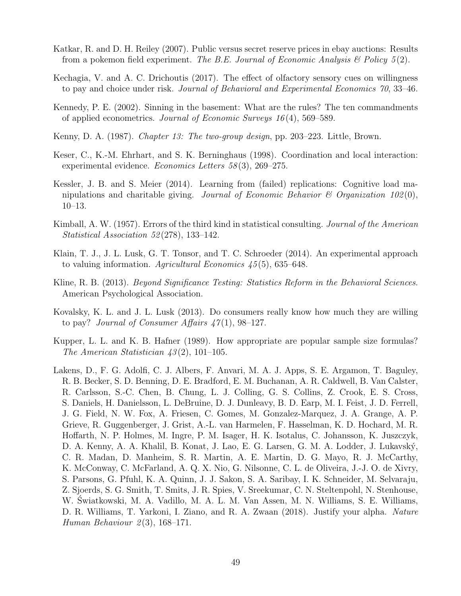- Katkar, R. and D. H. Reiley (2007). Public versus secret reserve prices in ebay auctions: Results from a pokemon field experiment. The B.E. Journal of Economic Analysis  $\mathcal B$  Policy 5(2).
- Kechagia, V. and A. C. Drichoutis (2017). The effect of olfactory sensory cues on willingness to pay and choice under risk. Journal of Behavioral and Experimental Economics 70, 33–46.
- Kennedy, P. E. (2002). Sinning in the basement: What are the rules? The ten commandments of applied econometrics. Journal of Economic Surveys 16 (4), 569–589.
- Kenny, D. A. (1987). Chapter 13: The two-group design, pp. 203–223. Little, Brown.
- Keser, C., K.-M. Ehrhart, and S. K. Berninghaus (1998). Coordination and local interaction: experimental evidence. Economics Letters 58 (3), 269–275.
- Kessler, J. B. and S. Meier (2014). Learning from (failed) replications: Cognitive load manipulations and charitable giving. Journal of Economic Behavior & Organization  $102(0)$ , 10–13.
- Kimball, A. W. (1957). Errors of the third kind in statistical consulting. *Journal of the American* Statistical Association 52 (278), 133–142.
- Klain, T. J., J. L. Lusk, G. T. Tonsor, and T. C. Schroeder (2014). An experimental approach to valuing information. Agricultural Economics  $\mu$ 5(5), 635–648.
- Kline, R. B. (2013). *Beyond Significance Testing: Statistics Reform in the Behavioral Sciences.* American Psychological Association.
- Kovalsky, K. L. and J. L. Lusk (2013). Do consumers really know how much they are willing to pay? Journal of Consumer Affairs  $47(1)$ , 98-127.
- Kupper, L. L. and K. B. Hafner (1989). How appropriate are popular sample size formulas? The American Statistician  $\frac{43(2)}{101-105}$ .
- Lakens, D., F. G. Adolfi, C. J. Albers, F. Anvari, M. A. J. Apps, S. E. Argamon, T. Baguley, R. B. Becker, S. D. Benning, D. E. Bradford, E. M. Buchanan, A. R. Caldwell, B. Van Calster, R. Carlsson, S.-C. Chen, B. Chung, L. J. Colling, G. S. Collins, Z. Crook, E. S. Cross, S. Daniels, H. Danielsson, L. DeBruine, D. J. Dunleavy, B. D. Earp, M. I. Feist, J. D. Ferrell, J. G. Field, N. W. Fox, A. Friesen, C. Gomes, M. Gonzalez-Marquez, J. A. Grange, A. P. Grieve, R. Guggenberger, J. Grist, A.-L. van Harmelen, F. Hasselman, K. D. Hochard, M. R. Hoffarth, N. P. Holmes, M. Ingre, P. M. Isager, H. K. Isotalus, C. Johansson, K. Juszczyk, D. A. Kenny, A. A. Khalil, B. Konat, J. Lao, E. G. Larsen, G. M. A. Lodder, J. Lukavský, C. R. Madan, D. Manheim, S. R. Martin, A. E. Martin, D. G. Mayo, R. J. McCarthy, K. McConway, C. McFarland, A. Q. X. Nio, G. Nilsonne, C. L. de Oliveira, J.-J. O. de Xivry, S. Parsons, G. Pfuhl, K. A. Quinn, J. J. Sakon, S. A. Saribay, I. K. Schneider, M. Selvaraju, Z. Sjoerds, S. G. Smith, T. Smits, J. R. Spies, V. Sreekumar, C. N. Steltenpohl, N. Stenhouse, W. Swiatkowski, M. A. Vadillo, M. A. L. M. Van Assen, M. N. Williams, S. E. Williams, D. R. Williams, T. Yarkoni, I. Ziano, and R. A. Zwaan (2018). Justify your alpha. Nature Human Behaviour  $2(3)$ , 168–171.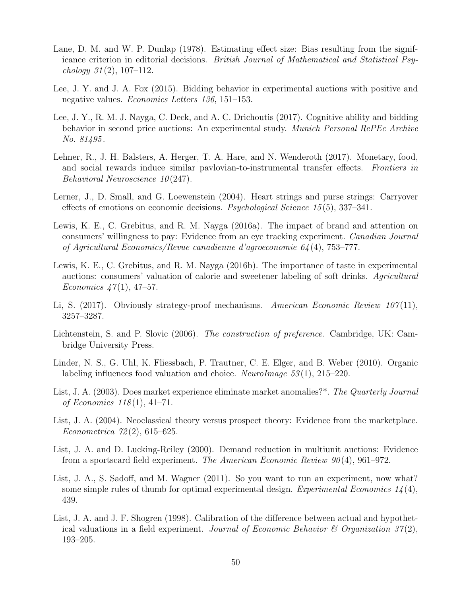- Lane, D. M. and W. P. Dunlap (1978). Estimating effect size: Bias resulting from the significance criterion in editorial decisions. British Journal of Mathematical and Statistical Psychology  $31(2)$ , 107–112.
- Lee, J. Y. and J. A. Fox (2015). Bidding behavior in experimental auctions with positive and negative values. Economics Letters 136, 151–153.
- Lee, J. Y., R. M. J. Nayga, C. Deck, and A. C. Drichoutis (2017). Cognitive ability and bidding behavior in second price auctions: An experimental study. *Munich Personal RePEc Archive* No. 81495 .
- Lehner, R., J. H. Balsters, A. Herger, T. A. Hare, and N. Wenderoth (2017). Monetary, food, and social rewards induce similar pavlovian-to-instrumental transfer effects. Frontiers in Behavioral Neuroscience 10 (247).
- Lerner, J., D. Small, and G. Loewenstein (2004). Heart strings and purse strings: Carryover effects of emotions on economic decisions. Psychological Science 15 (5), 337–341.
- Lewis, K. E., C. Grebitus, and R. M. Nayga (2016a). The impact of brand and attention on consumers' willingness to pay: Evidence from an eye tracking experiment. Canadian Journal of Agricultural Economics/Revue canadienne d'agroeconomie 64 (4), 753–777.
- Lewis, K. E., C. Grebitus, and R. M. Nayga (2016b). The importance of taste in experimental auctions: consumers' valuation of calorie and sweetener labeling of soft drinks. Agricultural Economics  $47(1)$ , 47–57.
- Li, S. (2017). Obviously strategy-proof mechanisms. American Economic Review  $107(11)$ , 3257–3287.
- Lichtenstein, S. and P. Slovic (2006). The construction of preference. Cambridge, UK: Cambridge University Press.
- Linder, N. S., G. Uhl, K. Fliessbach, P. Trautner, C. E. Elger, and B. Weber (2010). Organic labeling influences food valuation and choice. NeuroImage  $53(1)$ , 215–220.
- List, J. A. (2003). Does market experience eliminate market anomalies?\*. The Quarterly Journal of Economics  $118(1)$ ,  $41-71$ .
- List, J. A. (2004). Neoclassical theory versus prospect theory: Evidence from the marketplace. Econometrica  $72(2)$ , 615–625.
- List, J. A. and D. Lucking-Reiley (2000). Demand reduction in multiunit auctions: Evidence from a sportscard field experiment. The American Economic Review  $90(4)$ , 961–972.
- List, J. A., S. Sadoff, and M. Wagner (2011). So you want to run an experiment, now what? some simple rules of thumb for optimal experimental design. Experimental Economics  $1/4(4)$ , 439.
- List, J. A. and J. F. Shogren (1998). Calibration of the difference between actual and hypothetical valuations in a field experiment. Journal of Economic Behavior  $\mathcal{B}$  Organization 37(2), 193–205.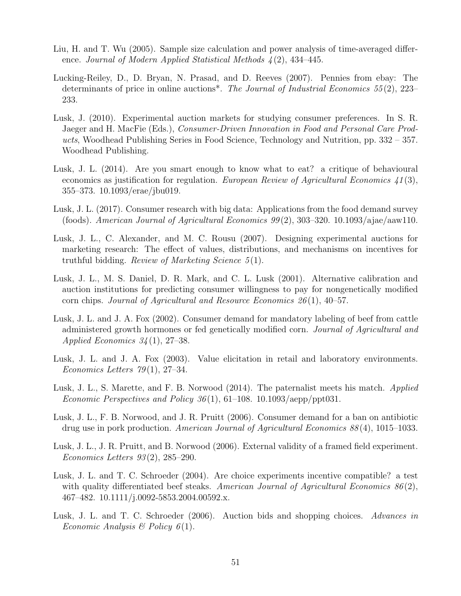- Liu, H. and T. Wu (2005). Sample size calculation and power analysis of time-averaged difference. Journal of Modern Applied Statistical Methods  $\lambda(2)$ , 434–445.
- Lucking-Reiley, D., D. Bryan, N. Prasad, and D. Reeves (2007). Pennies from ebay: The determinants of price in online auctions\*. The Journal of Industrial Economics 55 (2), 223– 233.
- Lusk, J. (2010). Experimental auction markets for studying consumer preferences. In S. R. Jaeger and H. MacFie (Eds.), Consumer-Driven Innovation in Food and Personal Care Products, Woodhead Publishing Series in Food Science, Technology and Nutrition, pp. 332 – 357. Woodhead Publishing.
- Lusk, J. L. (2014). Are you smart enough to know what to eat? a critique of behavioural economics as justification for regulation. *European Review of Agricultural Economics* 41(3), 355–373. 10.1093/erae/jbu019.
- Lusk, J. L. (2017). Consumer research with big data: Applications from the food demand survey (foods). American Journal of Agricultural Economics  $99(2)$ , 303–320. 10.1093/ajae/aaw110.
- Lusk, J. L., C. Alexander, and M. C. Rousu (2007). Designing experimental auctions for marketing research: The effect of values, distributions, and mechanisms on incentives for truthful bidding. Review of Marketing Science  $5(1)$ .
- Lusk, J. L., M. S. Daniel, D. R. Mark, and C. L. Lusk (2001). Alternative calibration and auction institutions for predicting consumer willingness to pay for nongenetically modified corn chips. Journal of Agricultural and Resource Economics  $26(1)$ , 40–57.
- Lusk, J. L. and J. A. Fox (2002). Consumer demand for mandatory labeling of beef from cattle administered growth hormones or fed genetically modified corn. Journal of Agricultural and Applied Economics  $34(1)$ , 27–38.
- Lusk, J. L. and J. A. Fox (2003). Value elicitation in retail and laboratory environments. Economics Letters  $79(1)$ , 27–34.
- Lusk, J. L., S. Marette, and F. B. Norwood (2014). The paternalist meets his match. Applied Economic Perspectives and Policy  $36(1)$ , 61–108. 10.1093/aepp/ppt031.
- Lusk, J. L., F. B. Norwood, and J. R. Pruitt (2006). Consumer demand for a ban on antibiotic drug use in pork production. American Journal of Agricultural Economics 88 (4), 1015–1033.
- Lusk, J. L., J. R. Pruitt, and B. Norwood (2006). External validity of a framed field experiment. Economics Letters 93 (2), 285–290.
- Lusk, J. L. and T. C. Schroeder (2004). Are choice experiments incentive compatible? a test with quality differentiated beef steaks. American Journal of Agricultural Economics  $86(2)$ , 467–482. 10.1111/j.0092-5853.2004.00592.x.
- Lusk, J. L. and T. C. Schroeder (2006). Auction bids and shopping choices. Advances in Economic Analysis & Policy  $6(1)$ .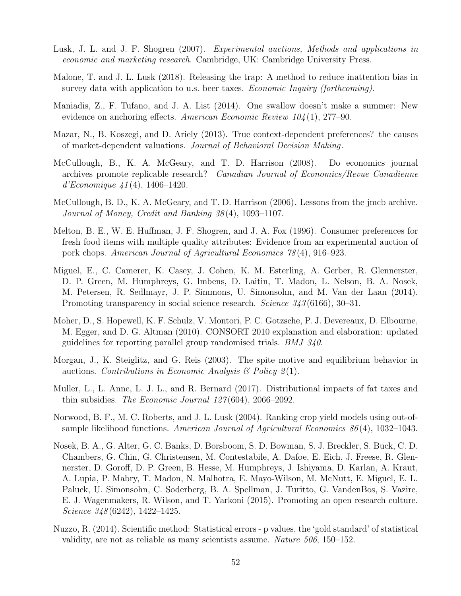- Lusk, J. L. and J. F. Shogren (2007). Experimental auctions, Methods and applications in economic and marketing research. Cambridge, UK: Cambridge University Press.
- Malone, T. and J. L. Lusk (2018). Releasing the trap: A method to reduce inattention bias in survey data with application to u.s. beer taxes. Economic Inquiry (forthcoming).
- Maniadis, Z., F. Tufano, and J. A. List (2014). One swallow doesn't make a summer: New evidence on anchoring effects. American Economic Review 104 (1), 277–90.
- Mazar, N., B. Koszegi, and D. Ariely (2013). True context-dependent preferences? the causes of market-dependent valuations. Journal of Behavioral Decision Making.
- McCullough, B., K. A. McGeary, and T. D. Harrison (2008). Do economics journal archives promote replicable research? Canadian Journal of Economics/Revue Canadienne d'Economique 41 (4), 1406–1420.
- McCullough, B. D., K. A. McGeary, and T. D. Harrison (2006). Lessons from the jmcb archive. Journal of Money, Credit and Banking 38 (4), 1093–1107.
- Melton, B. E., W. E. Huffman, J. F. Shogren, and J. A. Fox (1996). Consumer preferences for fresh food items with multiple quality attributes: Evidence from an experimental auction of pork chops. American Journal of Agricultural Economics 78 (4), 916–923.
- Miguel, E., C. Camerer, K. Casey, J. Cohen, K. M. Esterling, A. Gerber, R. Glennerster, D. P. Green, M. Humphreys, G. Imbens, D. Laitin, T. Madon, L. Nelson, B. A. Nosek, M. Petersen, R. Sedlmayr, J. P. Simmons, U. Simonsohn, and M. Van der Laan (2014). Promoting transparency in social science research. Science 343 (6166), 30–31.
- Moher, D., S. Hopewell, K. F. Schulz, V. Montori, P. C. Gotzsche, P. J. Devereaux, D. Elbourne, M. Egger, and D. G. Altman (2010). CONSORT 2010 explanation and elaboration: updated guidelines for reporting parallel group randomised trials. BMJ 340.
- Morgan, J., K. Steiglitz, and G. Reis (2003). The spite motive and equilibrium behavior in auctions. Contributions in Economic Analysis  $\mathcal{B}$  Policy 2(1).
- Muller, L., L. Anne, L. J. L., and R. Bernard (2017). Distributional impacts of fat taxes and thin subsidies. The Economic Journal 127 (604), 2066–2092.
- Norwood, B. F., M. C. Roberts, and J. L. Lusk (2004). Ranking crop yield models using out-ofsample likelihood functions. American Journal of Agricultural Economics 86 (4), 1032–1043.
- Nosek, B. A., G. Alter, G. C. Banks, D. Borsboom, S. D. Bowman, S. J. Breckler, S. Buck, C. D. Chambers, G. Chin, G. Christensen, M. Contestabile, A. Dafoe, E. Eich, J. Freese, R. Glennerster, D. Goroff, D. P. Green, B. Hesse, M. Humphreys, J. Ishiyama, D. Karlan, A. Kraut, A. Lupia, P. Mabry, T. Madon, N. Malhotra, E. Mayo-Wilson, M. McNutt, E. Miguel, E. L. Paluck, U. Simonsohn, C. Soderberg, B. A. Spellman, J. Turitto, G. VandenBos, S. Vazire, E. J. Wagenmakers, R. Wilson, and T. Yarkoni (2015). Promoting an open research culture. Science 348(6242), 1422–1425.
- Nuzzo, R. (2014). Scientific method: Statistical errors p values, the 'gold standard' of statistical validity, are not as reliable as many scientists assume. Nature 506, 150–152.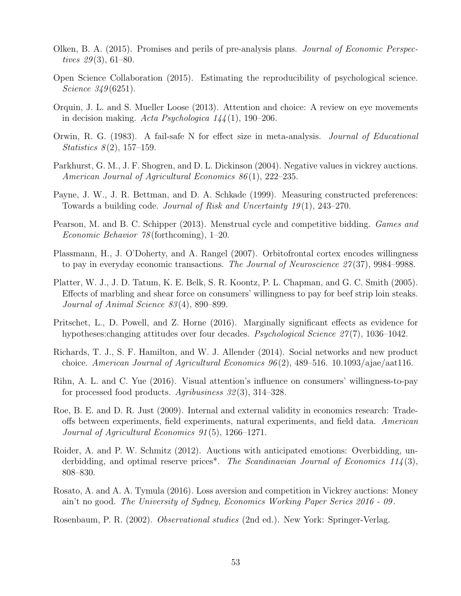- Olken, B. A. (2015). Promises and perils of pre-analysis plans. Journal of Economic Perspectives  $29(3)$ , 61–80.
- Open Science Collaboration (2015). Estimating the reproducibility of psychological science. Science 349(6251).
- Orquin, J. L. and S. Mueller Loose (2013). Attention and choice: A review on eye movements in decision making. Acta Psychologica  $144(1)$ , 190–206.
- Orwin, R. G. (1983). A fail-safe N for effect size in meta-analysis. Journal of Educational *Statistics*  $8(2)$ , 157–159.
- Parkhurst, G. M., J. F. Shogren, and D. L. Dickinson (2004). Negative values in vickrey auctions. American Journal of Agricultural Economics 86 (1), 222–235.
- Payne, J. W., J. R. Bettman, and D. A. Schkade (1999). Measuring constructed preferences: Towards a building code. Journal of Risk and Uncertainty 19 (1), 243–270.
- Pearson, M. and B. C. Schipper (2013). Menstrual cycle and competitive bidding. Games and Economic Behavior 78 (forthcoming), 1–20.
- Plassmann, H., J. O'Doherty, and A. Rangel (2007). Orbitofrontal cortex encodes willingness to pay in everyday economic transactions. The Journal of Neuroscience 27(37), 9984–9988.
- Platter, W. J., J. D. Tatum, K. E. Belk, S. R. Koontz, P. L. Chapman, and G. C. Smith (2005). Effects of marbling and shear force on consumers' willingness to pay for beef strip loin steaks. Journal of Animal Science 83 (4), 890–899.
- Pritschet, L., D. Powell, and Z. Horne (2016). Marginally significant effects as evidence for hypotheses: changing attitudes over four decades. *Psychological Science 27*(7), 1036–1042.
- Richards, T. J., S. F. Hamilton, and W. J. Allender (2014). Social networks and new product choice. American Journal of Agricultural Economics  $96(2)$ , 489–516. 10.1093/ajae/aat116.
- Rihn, A. L. and C. Yue (2016). Visual attention's influence on consumers' willingness-to-pay for processed food products. Agribusiness  $32(3)$ , 314–328.
- Roe, B. E. and D. R. Just (2009). Internal and external validity in economics research: Tradeoffs between experiments, field experiments, natural experiments, and field data. American Journal of Agricultural Economics 91 (5), 1266–1271.
- Roider, A. and P. W. Schmitz (2012). Auctions with anticipated emotions: Overbidding, underbidding, and optimal reserve prices<sup>\*</sup>. The Scandinavian Journal of Economics  $114(3)$ , 808–830.
- Rosato, A. and A. A. Tymula (2016). Loss aversion and competition in Vickrey auctions: Money ain't no good. The University of Sydney, Economics Working Paper Series 2016 - 09 .

Rosenbaum, P. R. (2002). Observational studies (2nd ed.). New York: Springer-Verlag.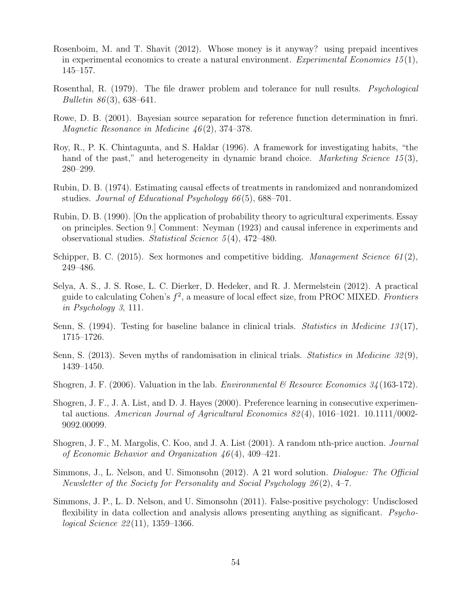- Rosenboim, M. and T. Shavit (2012). Whose money is it anyway? using prepaid incentives in experimental economics to create a natural environment. Experimental Economics 15(1), 145–157.
- Rosenthal, R. (1979). The file drawer problem and tolerance for null results. *Psychological* Bulletin  $86(3)$ , 638–641.
- Rowe, D. B. (2001). Bayesian source separation for reference function determination in fmri. Magnetic Resonance in Medicine 46(2), 374–378.
- Roy, R., P. K. Chintagunta, and S. Haldar (1996). A framework for investigating habits, "the hand of the past," and heterogeneity in dynamic brand choice. *Marketing Science 15*(3), 280–299.
- Rubin, D. B. (1974). Estimating causal effects of treatments in randomized and nonrandomized studies. Journal of Educational Psychology 66(5), 688–701.
- Rubin, D. B. (1990). [On the application of probability theory to agricultural experiments. Essay on principles. Section 9.] Comment: Neyman (1923) and causal inference in experiments and observational studies. Statistical Science 5 (4), 472–480.
- Schipper, B. C. (2015). Sex hormones and competitive bidding. Management Science  $61(2)$ , 249–486.
- Selya, A. S., J. S. Rose, L. C. Dierker, D. Hedeker, and R. J. Mermelstein (2012). A practical guide to calculating Cohen's  $f^2$ , a measure of local effect size, from PROC MIXED. Frontiers in Psychology 3, 111.
- Senn, S. (1994). Testing for baseline balance in clinical trials. Statistics in Medicine 13(17), 1715–1726.
- Senn, S. (2013). Seven myths of randomisation in clinical trials. Statistics in Medicine 32 (9), 1439–1450.
- Shogren, J. F. (2006). Valuation in the lab. *Environmental*  $\mathcal{B}$  Resource Economics 34 (163-172).
- Shogren, J. F., J. A. List, and D. J. Hayes (2000). Preference learning in consecutive experimental auctions. American Journal of Agricultural Economics 82 (4), 1016–1021. 10.1111/0002- 9092.00099.
- Shogren, J. F., M. Margolis, C. Koo, and J. A. List (2001). A random nth-price auction. Journal of Economic Behavior and Organization  $46(4)$ , 409-421.
- Simmons, J., L. Nelson, and U. Simonsohn (2012). A 21 word solution. Dialogue: The Official Newsletter of the Society for Personality and Social Psychology 26 (2), 4–7.
- Simmons, J. P., L. D. Nelson, and U. Simonsohn (2011). False-positive psychology: Undisclosed flexibility in data collection and analysis allows presenting anything as significant. *Psycho*logical Science 22 (11), 1359–1366.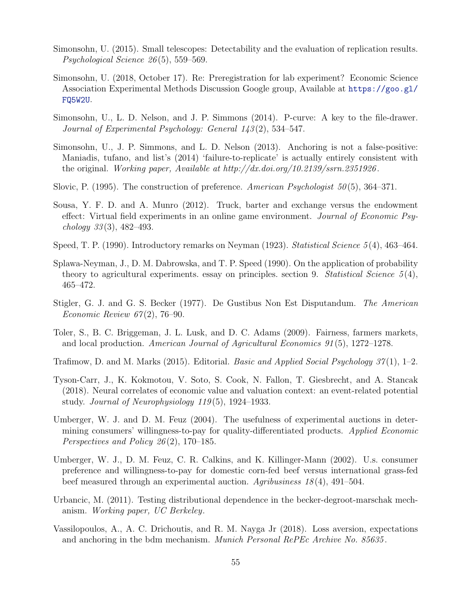- Simonsohn, U. (2015). Small telescopes: Detectability and the evaluation of replication results. Psychological Science 26 (5), 559–569.
- Simonsohn, U. (2018, October 17). Re: Preregistration for lab experiment? Economic Science Association Experimental Methods Discussion Google group, Available at https://goo.gl/ FQ5W2U.
- Simonsohn, U., L. D. Nelson, and J. P. Simmons (2014). P-curve: A key to the file-drawer. Journal of Experimental Psychology: General 143 (2), 534–547.
- Simonsohn, U., J. P. Simmons, and L. D. Nelson (2013). Anchoring is not a false-positive: Maniadis, tufano, and list's (2014) 'failure-to-replicate' is actually entirely consistent with the original. Working paper, Available at http://dx.doi.org/10.2139/ssrn.2351926.
- Slovic, P. (1995). The construction of preference. American Psychologist 50(5), 364–371.
- Sousa, Y. F. D. and A. Munro (2012). Truck, barter and exchange versus the endowment effect: Virtual field experiments in an online game environment. Journal of Economic Psychology  $33(3)$ ,  $482-493$ .
- Speed, T. P. (1990). Introductory remarks on Neyman (1923). *Statistical Science*  $5(4)$ , 463–464.
- Splawa-Neyman, J., D. M. Dabrowska, and T. P. Speed (1990). On the application of probability theory to agricultural experiments. essay on principles. section 9. Statistical Science  $5(4)$ , 465–472.
- Stigler, G. J. and G. S. Becker (1977). De Gustibus Non Est Disputandum. The American Economic Review  $67(2)$ , 76–90.
- Toler, S., B. C. Briggeman, J. L. Lusk, and D. C. Adams (2009). Fairness, farmers markets, and local production. American Journal of Agricultural Economics 91 (5), 1272–1278.
- Trafimow, D. and M. Marks (2015). Editorial. Basic and Applied Social Psychology  $37(1)$ , 1–2.
- Tyson-Carr, J., K. Kokmotou, V. Soto, S. Cook, N. Fallon, T. Giesbrecht, and A. Stancak (2018). Neural correlates of economic value and valuation context: an event-related potential study. Journal of Neurophysiology 119 (5), 1924–1933.
- Umberger, W. J. and D. M. Feuz (2004). The usefulness of experimental auctions in determining consumers' willingness-to-pay for quality-differentiated products. Applied Economic Perspectives and Policy 26 (2), 170–185.
- Umberger, W. J., D. M. Feuz, C. R. Calkins, and K. Killinger-Mann (2002). U.s. consumer preference and willingness-to-pay for domestic corn-fed beef versus international grass-fed beef measured through an experimental auction.  $Aqribusiness 18(4), 491-504.$
- Urbancic, M. (2011). Testing distributional dependence in the becker-degroot-marschak mechanism. Working paper, UC Berkeley.
- Vassilopoulos, A., A. C. Drichoutis, and R. M. Nayga Jr (2018). Loss aversion, expectations and anchoring in the bdm mechanism. *Munich Personal RePEc Archive No. 85635*.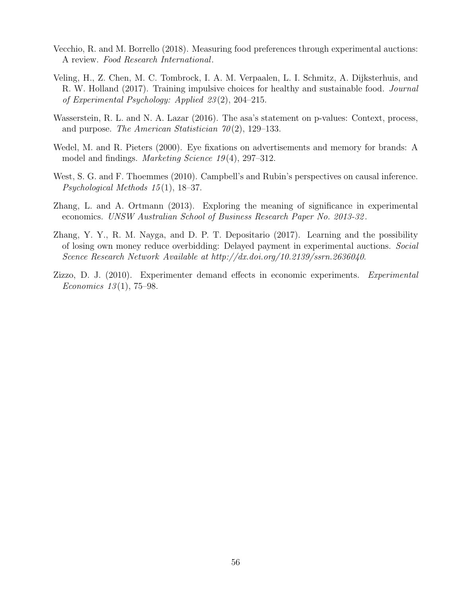- Vecchio, R. and M. Borrello (2018). Measuring food preferences through experimental auctions: A review. Food Research International.
- Veling, H., Z. Chen, M. C. Tombrock, I. A. M. Verpaalen, L. I. Schmitz, A. Dijksterhuis, and R. W. Holland (2017). Training impulsive choices for healthy and sustainable food. Journal of Experimental Psychology: Applied 23 (2), 204–215.
- Wasserstein, R. L. and N. A. Lazar (2016). The asa's statement on p-values: Context, process, and purpose. The American Statistician  $70(2)$ , 129–133.
- Wedel, M. and R. Pieters (2000). Eye fixations on advertisements and memory for brands: A model and findings. Marketing Science 19 (4), 297–312.
- West, S. G. and F. Thoemmes (2010). Campbell's and Rubin's perspectives on causal inference. Psychological Methods  $15(1)$ , 18–37.
- Zhang, L. and A. Ortmann (2013). Exploring the meaning of significance in experimental economics. UNSW Australian School of Business Research Paper No. 2013-32 .
- Zhang, Y. Y., R. M. Nayga, and D. P. T. Depositario (2017). Learning and the possibility of losing own money reduce overbidding: Delayed payment in experimental auctions. Social Scence Research Network Available at http://dx.doi.org/10.2139/ssrn.2636040.
- Zizzo, D. J. (2010). Experimenter demand effects in economic experiments. Experimental Economics  $13(1)$ , 75–98.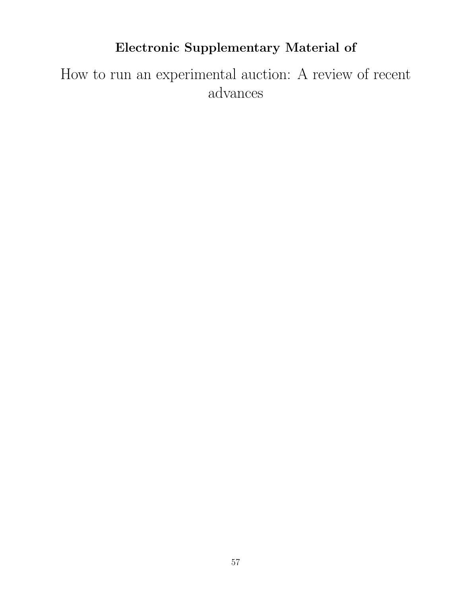# Electronic Supplementary Material of

How to run an experimental auction: A review of recent advances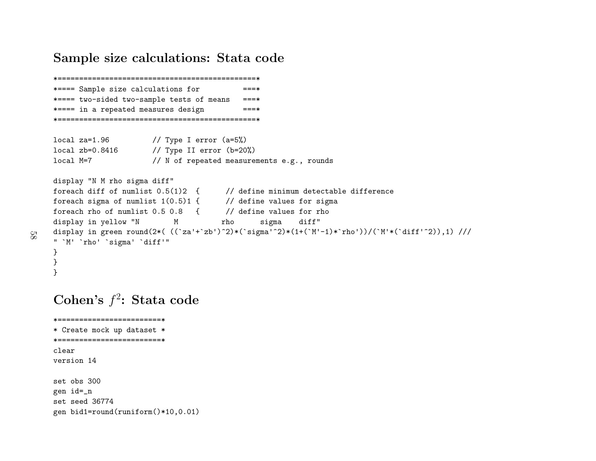## Sample size calculations: Stata code

```
*==============================================*==**==== Sample size calculations for ===*
*==== two-sided two-sample tests of means ===*
*==== in a repeated measures design ===*
*==============================================*local za=1.96 // Type I error (a=5%)
local zb=0.8416 // Type II error (b=20%)<br>local M=7 // N of repeated measure
                   \frac{1}{2} N of repeated measurements e.g., rounds
display "N M rho sigma diff"
foreach diff of numlist 0.5(1)2 { // define minimum detectable difference
foreach sigma of numlist 1(0.5)1 { \qquad // define values for sigma
foreach rho of numlist 0.5 0.8 { // define values for rho<br>display in yellow "N M rho sigma diff"
display in yellow "N
display in green round(2*( ((\text{Za'}+\text{Zb'})^2)*(\text{sigma'}^2)*(1+(\text{M'-1})*\text{rho'}))/(\text{M'*}(\text{diff'}^2)),1) ///
" `M' `rho' `sigma' `diff'"
}
}
}
```
# Cohen's  $f^2$ : Stata code

\*========================\*

```

* Create mock up dataset *
*========================*clear
version 14
set obs 300
gen id=_n
set seed 36774
gen bid1=round(runiform()*10,0.01)
```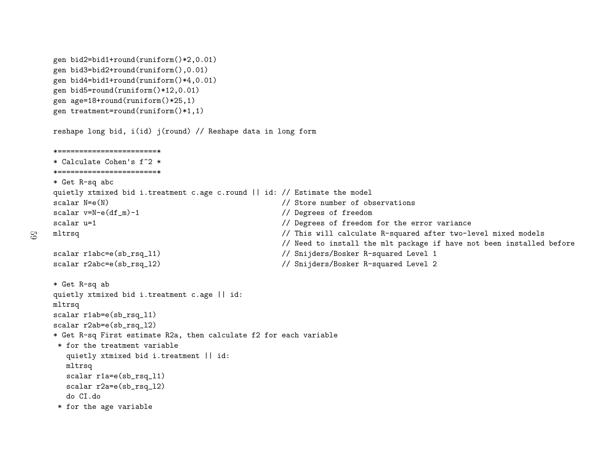```
gen bid2=bid1+round(runiform()*2,0.01)
gen bid3=bid2+round(runiform(),0.01)
gen bid4=bid1+round(runiform()*4,0.01)
gen bid5=round(runiform()*12,0.01)
gen age=18+round(runiform()*25,1)
gen treatment=round(runiform()*1,1)
```
 $59$ 

reshape long bid, i(id) j(round) // Reshape data in long form

```
*=======================*
* Calculate Cohen's f^2 *
*=======================** Get R-sq abc
quietly xtmixed bid i.treatment c.age c.round || id: // Estimate the model<br>scalar N=e(N) // Store number of ob
scalar N=e(N)<br>scalar v=N-e(df_m)-1 \qquad // Store number of observations<br>// Degrees of freedom
scalar v=N-e(df_m)-1 // Degrees of freedom<br>scalar u=1 // Degrees of freedom
                                                             // Degrees of freedom for the error variance
mltrsq // This will calculate R-squared after two-level mixed models
                                                             // Need to install the mlt package if have not been installed before
scalar r1abc=e(sb_rsq_l1)                // Snijders/Bosker R-squared Level 1<br>scalar r2abc=e(sb_rsq_l2)               // Snijders/Bosker R-squared Level 2
                                                             // Snijders/Bosker R-squared Level 2
* Get R-sq ab
quietly xtmixed bid i.treatment c.age || id:
mltrsq
scalar r1ab=e(sb_rsq_l1)
scalar r2ab=e(sb_rsq_l2)
* Get R-sq First estimate R2a, then calculate f2 for each variable
 * for the treatment variable
   quietly xtmixed bid i.treatment || id:
   mltrsq
scalar r1a=e(sb_rsq_l1)
   scalar r2a=e(sb_rsq_l2)
   do CI.do
 * for the age variable
```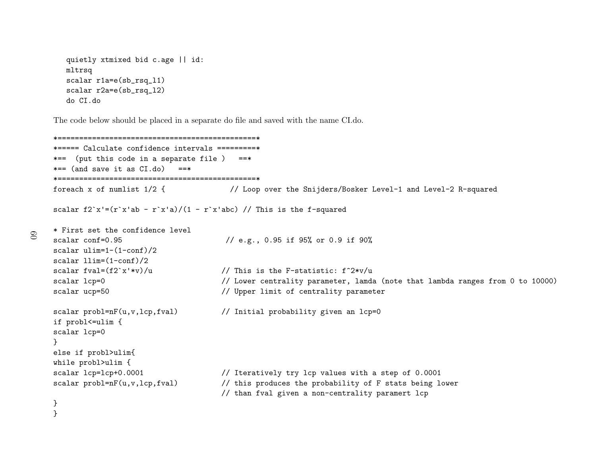```
quietly xtmixed bid c.age || id:
mltrsq
scalar r1a=e(sb_rsq_l1)
scalar r2a=e(sb_rsq_l2)
do CI.do
```
The code below should be <sup>p</sup>laced in <sup>a</sup> separate do file and saved with the name CI.do.

```
*==============================================*
*===== Calculate confidence intervals =========*
*== (put this code in a separate file ) ==*
*== (and save it as CI.do) ==*
*==============================================*
foreach x of numlist 1/2 { // Loop over the Snijders/Bosker Level-1 and Level-2 R-squared
scalar f2^x = (r^x x'ab - r^x x'a)/(1 - r^x x'abc) // This is the f-squared
* First set the confidence level
scalar conf=0.95 // e.g., 0.95 if 95% or 0.9 if 90%
scalar ulim=1-(1-conf)/2
scalar llim=(1-conf)/2<br>scalar fval=(f2`x'*v)/u
                                            // This is the F-statistic: f^2*v/uscalar lcp=0 \frac{1}{10000} // Lower centrality parameter, lamda (note that lambda ranges from 0 to 10000)<br>scalar ucp=50 \frac{1}{10000} // Upper limit of centrality parameter
                                            // Upper limit of centrality parameter
scalar probl=nF(u,v,lcp,fval) \frac{1}{2} // Initial probability given an lcp=0
if probl<=ulim {
scalar lcp=0
}
else if probl>ulim{
while probl>ulim {<br>scalar lcp=lcp+0.0001
scalar lcp=lcp+0.0001 // Iteratively try lcp values with a step of 0.0001<br>scalar probl=nF(u,v,lcp,fval) // this produces the probability of F stats being l
                                            // this produces the probability of F stats being lower
                                            // than fval given a non-centrality paramert lcp
}
```

```
60
```
}